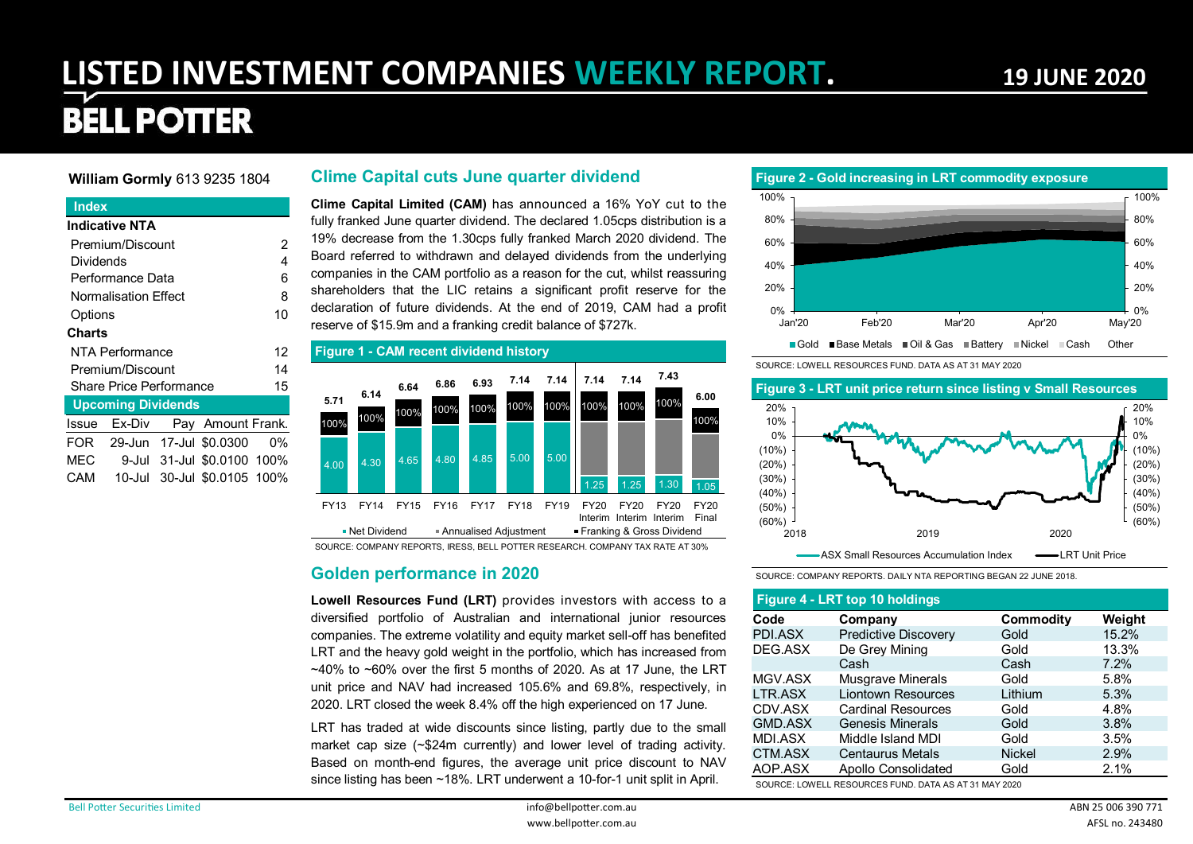# **LISTED INVESTMENT COMPANIES WEEKLY REPORT. 19 JUNE 2020**

# **BELL POTTER**

#### **William Gormly** 613 9235 1804

#### **Index**

|           | Indicative NTA                 |  |                                  |    |  |  |  |  |  |  |  |  |  |
|-----------|--------------------------------|--|----------------------------------|----|--|--|--|--|--|--|--|--|--|
|           | Premium/Discount               |  |                                  | 2  |  |  |  |  |  |  |  |  |  |
| Dividends |                                |  |                                  | 4  |  |  |  |  |  |  |  |  |  |
|           | Performance Data               |  |                                  | 6  |  |  |  |  |  |  |  |  |  |
|           | <b>Normalisation Effect</b>    |  |                                  | 8  |  |  |  |  |  |  |  |  |  |
|           | Options                        |  |                                  |    |  |  |  |  |  |  |  |  |  |
| Charts    |                                |  |                                  |    |  |  |  |  |  |  |  |  |  |
|           | NTA Performance                |  |                                  | 12 |  |  |  |  |  |  |  |  |  |
|           | Premium/Discount               |  |                                  | 14 |  |  |  |  |  |  |  |  |  |
|           | <b>Share Price Performance</b> |  |                                  | 15 |  |  |  |  |  |  |  |  |  |
|           | <b>Upcoming Dividends</b>      |  |                                  |    |  |  |  |  |  |  |  |  |  |
|           |                                |  | Issue Ex-Div Pay Amount Frank.   |    |  |  |  |  |  |  |  |  |  |
|           |                                |  | FOR 29-Jun 17-Jul \$0.0300       | 0% |  |  |  |  |  |  |  |  |  |
|           |                                |  | MEC 9-Jul 31-Jul \$0.0100 100%   |    |  |  |  |  |  |  |  |  |  |
|           |                                |  | CAM  10-Jul 30-Jul \$0.0105 100% |    |  |  |  |  |  |  |  |  |  |

#### **Clime Capital cuts June quarter dividend**

**Clime Capital Limited (CAM)** has announced a 16% YoY cut to the fully franked June quarter dividend. The declared 1.05cps distribution is a 19% decrease from the 1.30cps fully franked March 2020 dividend. The Board referred to withdrawn and delayed dividends from the underlying companies in the CAM portfolio as a reason for the cut, whilst reassuring shareholders that the LIC retains a significant profit reserve for the declaration of future dividends. At the end of 2019, CAM had a profit reserve of \$15.9m and a franking credit balance of \$727k.



SOURCE: COMPANY REPORTS, IRESS, BELL POTTER RESEARCH. COMPANY TAX RATE AT 30%

#### **Golden performance in 2020**

**Lowell Resources Fund (LRT)** provides investors with access to a diversified portfolio of Australian and international junior resources companies. The extreme volatility and equity market sell-off has benefited LRT and the heavy gold weight in the portfolio, which has increased from  $\sim$ 40% to  $\sim$ 60% over the first 5 months of 2020. As at 17 June, the LRT unit price and NAV had increased 105.6% and 69.8%, respectively, in 2020. LRT closed the week 8.4% off the high experienced on 17 June.

LRT has traded at wide discounts since listing, partly due to the small market cap size (~\$24m currently) and lower level of trading activity. Based on month-end figures, the average unit price discount to NAV since listing has been ~18%. LRT underwent a 10-for-1 unit split in April.

#### **Figure 2 - Gold increasing in LRT commodity exposure**



SOURCE: LOWELL RESOURCES FUND. DATA AS AT 31 MAY 2020

#### (50%) (40%) (30%) (20%) (10%) 0% 10% 20% (50%) (40%) (30%) (20%) (10%) 0% 10% 20% **Figure 3 - LRT unit price return since listing v Small Resources**

2018 2019 2020 ASX Small Resources Accumulation Index – **-** LRT Unit Price

SOURCE: COMPANY REPORTS. DAILY NTA REPORTING BEGAN 22 JUNE 2018.

#### **Figure 4 - LRT top 10 holdings**

 $(60\%)$ 

| Code           | Company                   | Commodity     | Weight |
|----------------|---------------------------|---------------|--------|
| PDI.ASX        | Predictive Discovery      | Gold          | 15.2%  |
| DEG.ASX        | De Grey Mining            | Gold          | 13.3%  |
|                | Cash                      | Cash          | 7.2%   |
| MGV.ASX        | <b>Musgrave Minerals</b>  | Gold          | 5.8%   |
| LTR.ASX        | <b>Liontown Resources</b> | Lithium       | 5.3%   |
| CDV.ASX        | <b>Cardinal Resources</b> | Gold          | 4.8%   |
| <b>GMD.ASX</b> | <b>Genesis Minerals</b>   | Gold          | 3.8%   |
| <b>MDI.ASX</b> | Middle Island MDI         | Gold          | 3.5%   |
| CTM.ASX        | <b>Centaurus Metals</b>   | <b>Nickel</b> | 2.9%   |
| AOP.ASX        | Apollo Consolidated       | Gold          | 2.1%   |

SOURCE: LOWELL RESOURCES FUND. DATA AS AT 31 MAY 2020

(60%)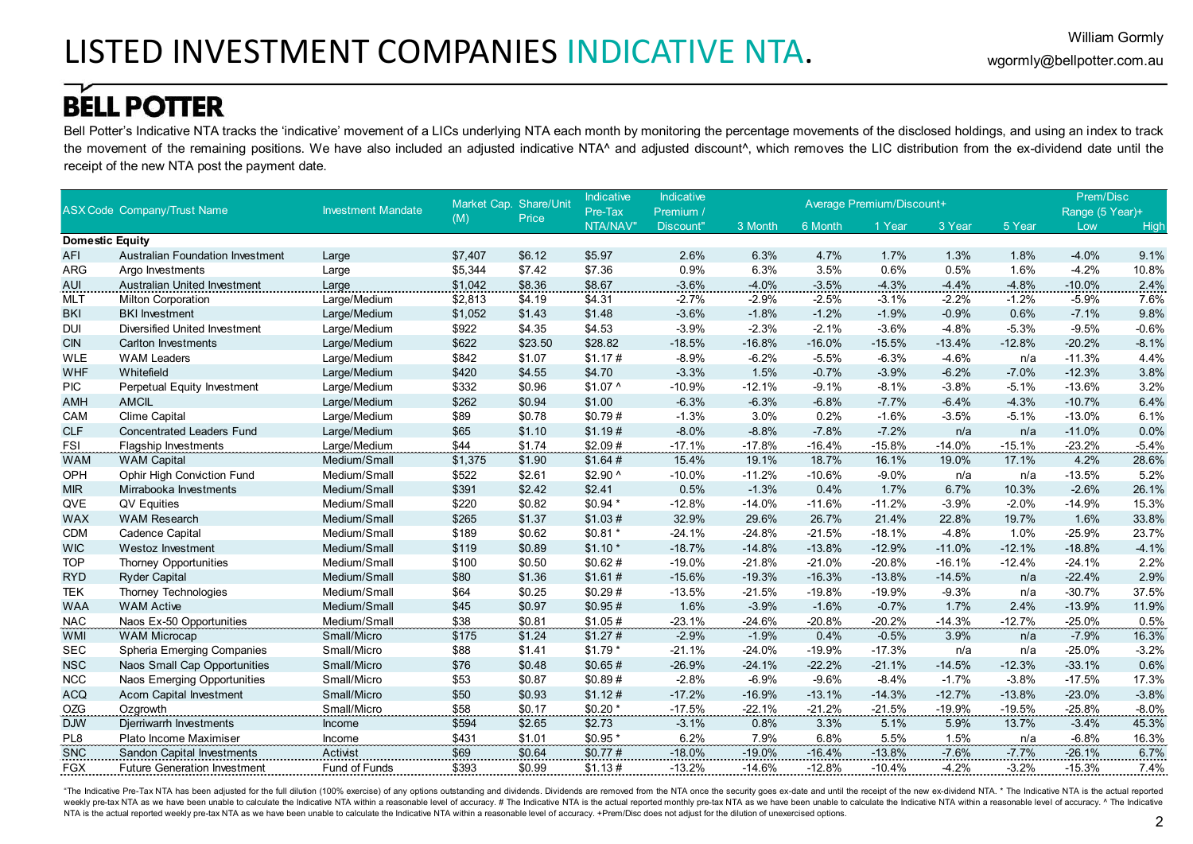Bell Potter's Indicative NTA tracks the 'indicative' movement of a LICs underlying NTA each month by monitoring the percentage movements of the disclosed holdings, and using an index to track the movement of the remaining positions. We have also included an adjusted indicative NTA^ and adjusted discount^, which removes the LIC distribution from the ex-dividend date until the receipt of the new NTA post the payment date.

|                        |                                     |                           |         | Market Cap. Share/Unit | <b>Indicative</b> | Indicative |          |          | Average Premium/Discount+ |          |          | Prem/Disc       |         |
|------------------------|-------------------------------------|---------------------------|---------|------------------------|-------------------|------------|----------|----------|---------------------------|----------|----------|-----------------|---------|
|                        | <b>ASX Code Company/Trust Name</b>  | <b>Investment Mandate</b> |         | Price                  | Pre-Tax           | Premium /  |          |          |                           |          |          | Range (5 Year)+ |         |
|                        |                                     |                           | (M)     |                        | NTA/NAV"          | Discount"  | 3 Month  | 6 Month  | 1 Year                    | 3 Year   | 5 Year   | Low             | High    |
| <b>Domestic Equity</b> |                                     |                           |         |                        |                   |            |          |          |                           |          |          |                 |         |
| <b>AFI</b>             | Australian Foundation Investment    | Large                     | \$7,407 | \$6.12                 | \$5.97            | 2.6%       | 6.3%     | 4.7%     | 1.7%                      | 1.3%     | 1.8%     | $-4.0%$         | 9.1%    |
| <b>ARG</b>             | Argo Investments                    | Large                     | \$5,344 | \$7.42                 | \$7.36            | 0.9%       | 6.3%     | 3.5%     | 0.6%                      | 0.5%     | 1.6%     | $-4.2%$         | 10.8%   |
| <b>AUI</b>             | Australian United Investment        | Large                     | \$1,042 | \$8.36                 | \$8.67            | $-3.6%$    | $-4.0%$  | $-3.5%$  | $-4.3%$                   | $-4.4%$  | $-4.8%$  | $-10.0%$        | 2.4%    |
| <b>MLT</b>             | <b>Milton Corporation</b>           | Large/Medium              | \$2,813 | \$4.19                 | \$4.31            | $-2.7%$    | $-2.9%$  | $-2.5%$  | $-3.1%$                   | $-2.2%$  | $-1.2%$  | $-5.9%$         | 7.6%    |
| <b>BKI</b>             | <b>BKI</b> Investment               | Large/Medium              | \$1,052 | \$1.43                 | \$1.48            | $-3.6%$    | $-1.8%$  | $-1.2%$  | $-1.9%$                   | $-0.9%$  | 0.6%     | $-7.1%$         | 9.8%    |
| <b>DUI</b>             | Diversified United Investment       | Large/Medium              | \$922   | \$4.35                 | \$4.53            | $-3.9%$    | $-2.3%$  | $-2.1%$  | $-3.6%$                   | $-4.8%$  | $-5.3%$  | $-9.5%$         | $-0.6%$ |
| <b>CIN</b>             | <b>Carlton Investments</b>          | Large/Medium              | \$622   | \$23.50                | \$28.82           | $-18.5%$   | $-16.8%$ | $-16.0%$ | $-15.5%$                  | $-13.4%$ | $-12.8%$ | $-20.2%$        | $-8.1%$ |
| <b>WLE</b>             | <b>WAM Leaders</b>                  | Large/Medium              | \$842   | \$1.07                 | \$1.17#           | $-8.9%$    | $-6.2%$  | $-5.5%$  | $-6.3%$                   | $-4.6%$  | n/a      | $-11.3%$        | 4.4%    |
| <b>WHF</b>             | Whitefield                          | Large/Medium              | \$420   | \$4.55                 | \$4.70            | $-3.3%$    | 1.5%     | $-0.7%$  | $-3.9%$                   | $-6.2%$  | $-7.0%$  | $-12.3%$        | 3.8%    |
| <b>PIC</b>             | Perpetual Equity Investment         | Large/Medium              | \$332   | \$0.96                 | $$1.07$ ^         | $-10.9%$   | $-12.1%$ | $-9.1%$  | $-8.1%$                   | $-3.8%$  | $-5.1%$  | $-13.6%$        | 3.2%    |
| <b>AMH</b>             | <b>AMCIL</b>                        | Large/Medium              | \$262   | \$0.94                 | \$1.00            | $-6.3%$    | $-6.3%$  | $-6.8%$  | $-7.7%$                   | $-6.4%$  | $-4.3%$  | $-10.7%$        | 6.4%    |
| CAM                    | Clime Capital                       | Large/Medium              | \$89    | \$0.78                 | \$0.79#           | $-1.3%$    | 3.0%     | 0.2%     | $-1.6%$                   | $-3.5%$  | $-5.1%$  | $-13.0%$        | 6.1%    |
| <b>CLF</b>             | <b>Concentrated Leaders Fund</b>    | Large/Medium              | \$65    | \$1.10                 | \$1.19#           | $-8.0%$    | $-8.8%$  | $-7.8%$  | $-7.2%$                   | n/a      | n/a      | $-11.0%$        | 0.0%    |
| <b>FSI</b>             | <b>Flagship Investments</b>         | Large/Medium              | \$44    | \$1.74                 | \$2.09#           | $-17.1%$   | $-17.8%$ | $-16.4%$ | $-15.8%$                  | $-14.0%$ | $-15.1%$ | $-23.2%$        | $-5.4%$ |
| <b>WAM</b>             | <b>WAM</b> Capital                  | Medium/Small              | \$1,375 | \$1.90                 | \$1.64#           | 15.4%      | 19.1%    | 18.7%    | 16.1%                     | 19.0%    | 17.1%    | 4.2%            | 28.6%   |
| OPH                    | <b>Ophir High Conviction Fund</b>   | Medium/Small              | \$522   | \$2.61                 | $$2.90$ ^         | $-10.0%$   | $-11.2%$ | $-10.6%$ | $-9.0%$                   | n/a      | n/a      | $-13.5%$        | 5.2%    |
| <b>MIR</b>             | Mirrabooka Investments              | Medium/Small              | \$391   | \$2.42                 | \$2.41            | 0.5%       | $-1.3%$  | 0.4%     | 1.7%                      | 6.7%     | 10.3%    | $-2.6%$         | 26.1%   |
| QVE                    | <b>QV Equities</b>                  | Medium/Small              | \$220   | \$0.82                 | $$0.94*$          | $-12.8%$   | $-14.0%$ | $-11.6%$ | $-11.2%$                  | $-3.9%$  | $-2.0%$  | $-14.9%$        | 15.3%   |
| <b>WAX</b>             | <b>WAM Research</b>                 | Medium/Small              | \$265   | \$1.37                 | \$1.03#           | 32.9%      | 29.6%    | 26.7%    | 21.4%                     | 22.8%    | 19.7%    | 1.6%            | 33.8%   |
| <b>CDM</b>             | Cadence Capital                     | Medium/Small              | \$189   | \$0.62                 | $$0.81*$          | $-24.1%$   | $-24.8%$ | $-21.5%$ | $-18.1%$                  | $-4.8%$  | 1.0%     | $-25.9%$        | 23.7%   |
| <b>WIC</b>             | Westoz Investment                   | Medium/Small              | \$119   | \$0.89                 | $$1.10*$          | $-18.7%$   | $-14.8%$ | $-13.8%$ | $-12.9%$                  | $-11.0%$ | $-12.1%$ | $-18.8%$        | $-4.1%$ |
| <b>TOP</b>             | <b>Thorney Opportunities</b>        | Medium/Small              | \$100   | \$0.50                 | \$0.62#           | $-19.0%$   | $-21.8%$ | $-21.0%$ | $-20.8%$                  | $-16.1%$ | $-12.4%$ | $-24.1%$        | 2.2%    |
| <b>RYD</b>             | <b>Ryder Capital</b>                | Medium/Small              | \$80    | \$1.36                 | \$1.61#           | $-15.6%$   | $-19.3%$ | $-16.3%$ | $-13.8%$                  | $-14.5%$ | n/a      | $-22.4%$        | 2.9%    |
| <b>TEK</b>             | <b>Thorney Technologies</b>         | Medium/Small              | \$64    | \$0.25                 | \$0.29#           | $-13.5%$   | $-21.5%$ | $-19.8%$ | $-19.9%$                  | $-9.3%$  | n/a      | $-30.7%$        | 37.5%   |
| <b>WAA</b>             | <b>WAM Active</b>                   | Medium/Small              | \$45    | \$0.97                 | \$0.95#           | 1.6%       | $-3.9%$  | $-1.6%$  | $-0.7%$                   | 1.7%     | 2.4%     | $-13.9%$        | 11.9%   |
| <b>NAC</b>             | Naos Ex-50 Opportunities            | Medium/Small              | \$38    | \$0.81                 | \$1.05#           | $-23.1%$   | $-24.6%$ | $-20.8%$ | $-20.2%$                  | $-14.3%$ | $-12.7%$ | $-25.0%$        | 0.5%    |
| <b>WMI</b>             | <b>WAM Microcap</b>                 | Small/Micro               | \$175   | \$1.24                 | \$1.27#           | $-2.9%$    | $-1.9%$  | 0.4%     | $-0.5%$                   | 3.9%     | n/a      | $-7.9%$         | 16.3%   |
| <b>SEC</b>             | Spheria Emerging Companies          | Small/Micro               | \$88    | \$1.41                 | $$1.79$ *         | $-21.1%$   | $-24.0%$ | $-19.9%$ | $-17.3%$                  | n/a      | n/a      | $-25.0%$        | $-3.2%$ |
| <b>NSC</b>             | Naos Small Cap Opportunities        | Small/Micro               | \$76    | \$0.48                 | \$0.65#           | $-26.9%$   | $-24.1%$ | $-22.2%$ | $-21.1%$                  | $-14.5%$ | $-12.3%$ | $-33.1%$        | 0.6%    |
| <b>NCC</b>             | Naos Emerging Opportunities         | Small/Micro               | \$53    | \$0.87                 | \$0.89#           | $-2.8%$    | $-6.9%$  | $-9.6%$  | $-8.4%$                   | $-1.7%$  | $-3.8%$  | $-17.5%$        | 17.3%   |
| <b>ACQ</b>             | <b>Acorn Capital Investment</b>     | Small/Micro               | \$50    | \$0.93                 | \$1.12#           | $-17.2%$   | $-16.9%$ | $-13.1%$ | $-14.3%$                  | $-12.7%$ | $-13.8%$ | $-23.0%$        | $-3.8%$ |
| OZG                    | Ozgrowth                            | Small/Micro               | \$58    | \$0.17                 | $$0.20*$          | $-17.5%$   | $-22.1%$ | $-21.2%$ | $-21.5%$                  | $-19.9%$ | $-19.5%$ | $-25.8%$        | $-8.0%$ |
| <b>DJW</b>             | Djerriwarrh Investments             | Income                    | \$594   | \$2.65                 | \$2.73            | $-3.1%$    | 0.8%     | 3.3%     | 5.1%                      | 5.9%     | 13.7%    | $-3.4%$         | 45.3%   |
| PL8                    | Plato Income Maximiser              | Income                    | \$431   | \$1.01                 | $$0.95*$          | 6.2%       | 7.9%     | 6.8%     | 5.5%                      | 1.5%     | n/a      | $-6.8%$         | 16.3%   |
| SNC                    | <b>Sandon Capital Investments</b>   | Activist                  | \$69    | \$0.64                 | \$0.77#           | $-18.0%$   | $-19.0%$ | $-16.4%$ | $-13.8%$                  | $-7.6%$  | $-7.7%$  | $-26.1%$        | 6.7%    |
| <b>FGX</b>             | <b>Future Generation Investment</b> | Fund of Funds             | \$393   | \$0.99                 | \$1.13#           | $-13.2%$   | $-14.6%$ | $-12.8%$ | $-10.4%$                  | $-4.2%$  | $-3.2%$  | $-15.3%$        | 7.4%    |

"The Indicative Pre-Tax NTA has been adjusted for the full dilution (100% exercise) of any options outstanding and dividends. Dividends are removed from the NTA once the security goes ex-date and until the receipt of the n weekly pre-tax NTA as we have been unable to calculate the Indicative NTA within a reasonable level of accuracy. # The Indicative NTA is the actual reported monthly pre-tax NTA as we have been unable to calculate the Indic NTA is the actual reported weekly pre-tax NTA as we have been unable to calculate the Indicative NTA within a reasonable level of accuracy. +Prem/Disc does not adjust for the dilution of unexercised options.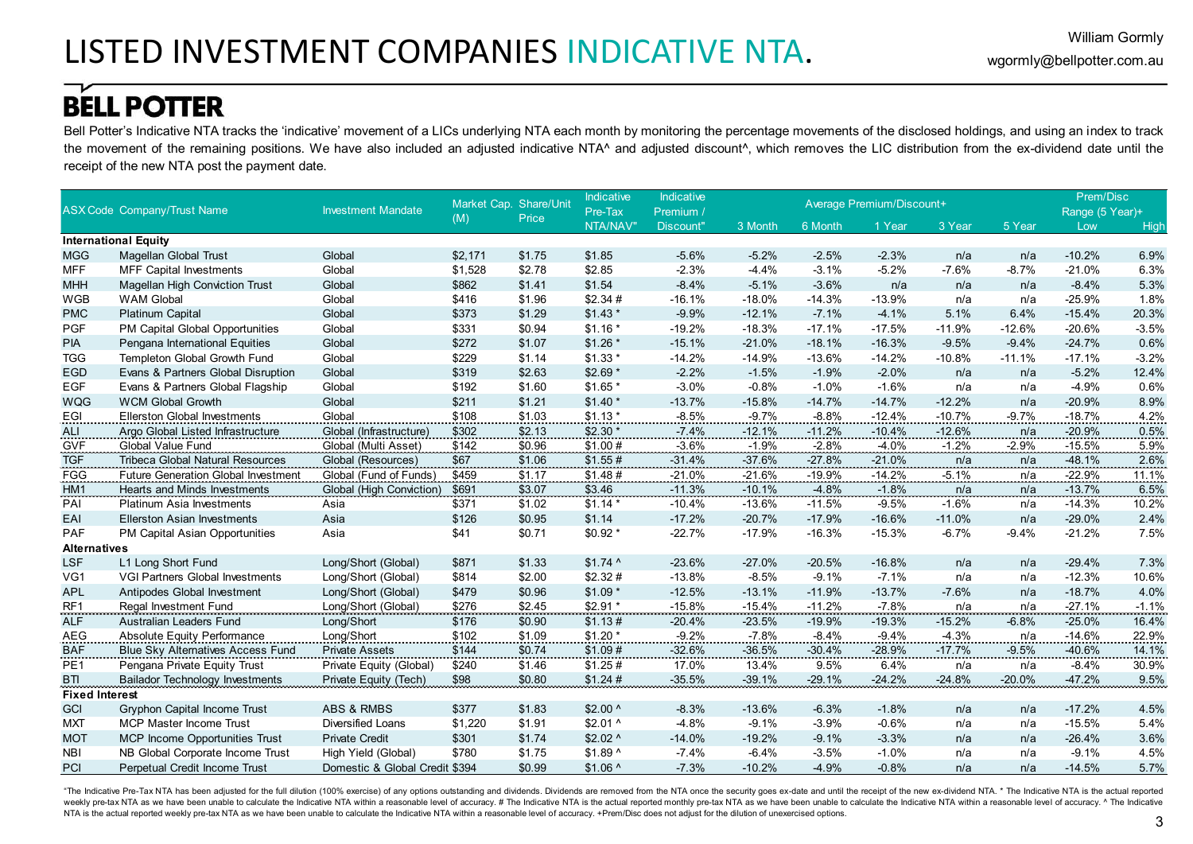Bell Potter's Indicative NTA tracks the 'indicative' movement of a LICs underlying NTA each month by monitoring the percentage movements of the disclosed holdings, and using an index to track the movement of the remaining positions. We have also included an adjusted indicative NTA^ and adjusted discount^, which removes the LIC distribution from the ex-dividend date until the receipt of the new NTA post the payment date.

|                       |                                            |                                | Market Cap. Share/Unit |        | Indicative | Indicative |          |          | Average Premium/Discount+ |            |          | Prem/Disc       |         |
|-----------------------|--------------------------------------------|--------------------------------|------------------------|--------|------------|------------|----------|----------|---------------------------|------------|----------|-----------------|---------|
|                       | <b>ASX Code Company/Trust Name</b>         | <b>Investment Mandate</b>      | (M)                    | Price  | Pre-Tax    | Premium /  |          |          |                           |            |          | Range (5 Year)+ |         |
|                       |                                            |                                |                        |        | NTA/NAV"   | Discount"  | 3 Month  | 6 Month  | 1 Year                    | 3 Year     | 5 Year   | Low             | High    |
|                       | <b>International Equity</b>                |                                |                        |        |            |            |          |          |                           |            |          |                 |         |
| <b>MGG</b>            | Magellan Global Trust                      | Global                         | \$2,171                | \$1.75 | \$1.85     | $-5.6%$    | $-5.2%$  | $-2.5%$  | $-2.3%$                   | n/a        | n/a      | $-10.2%$        | 6.9%    |
| <b>MFF</b>            | <b>MFF Capital Investments</b>             | Global                         | \$1,528                | \$2.78 | \$2.85     | $-2.3%$    | $-4.4%$  | $-3.1%$  | $-5.2%$                   | $-7.6%$    | $-8.7%$  | $-21.0%$        | 6.3%    |
| <b>MHH</b>            | <b>Magellan High Conviction Trust</b>      | Global                         | \$862                  | \$1.41 | \$1.54     | $-8.4%$    | $-5.1%$  | $-3.6%$  | n/a                       | n/a        | n/a      | $-8.4%$         | 5.3%    |
| <b>WGB</b>            | <b>WAM Global</b>                          | Global                         | \$416                  | \$1.96 | \$2.34#    | $-16.1%$   | $-18.0%$ | $-14.3%$ | $-13.9%$                  | n/a        | n/a      | $-25.9%$        | 1.8%    |
| <b>PMC</b>            | <b>Platinum Capital</b>                    | Global                         | \$373                  | \$1.29 | $$1.43$ *  | $-9.9%$    | $-12.1%$ | $-7.1%$  | $-4.1%$                   | 5.1%       | 6.4%     | $-15.4%$        | 20.3%   |
| <b>PGF</b>            | PM Capital Global Opportunities            | Global                         | \$331                  | \$0.94 | $$1.16*$   | $-19.2%$   | $-18.3%$ | $-17.1%$ | $-17.5%$                  | $-11.9%$   | $-12.6%$ | $-20.6%$        | $-3.5%$ |
| <b>PIA</b>            | Pengana International Equities             | Global                         | \$272                  | \$1.07 | $$1.26$ *  | $-15.1%$   | $-21.0%$ | $-18.1%$ | $-16.3%$                  | $-9.5%$    | $-9.4%$  | $-24.7%$        | 0.6%    |
| <b>TGG</b>            | Templeton Global Growth Fund               | Global                         | \$229                  | \$1.14 | $$1.33*$   | $-14.2%$   | $-14.9%$ | $-13.6%$ | $-14.2%$                  | $-10.8%$   | $-11.1%$ | $-17.1%$        | $-3.2%$ |
| <b>EGD</b>            | Evans & Partners Global Disruption         | Global                         | \$319                  | \$2.63 | $$2.69*$   | $-2.2%$    | $-1.5%$  | $-1.9%$  | $-2.0%$                   | n/a        | n/a      | $-5.2%$         | 12.4%   |
| EGF                   | Evans & Partners Global Flagship           | Global                         | \$192                  | \$1.60 | $$1.65*$   | $-3.0%$    | $-0.8%$  | $-1.0%$  | $-1.6%$                   | n/a        | n/a      | $-4.9%$         | 0.6%    |
| <b>WQG</b>            | <b>WCM Global Growth</b>                   | Global                         | \$211                  | \$1.21 | $$1.40*$   | $-13.7%$   | $-15.8%$ | $-14.7%$ | $-14.7%$                  | $-12.2%$   | n/a      | $-20.9%$        | 8.9%    |
| EGI                   | <b>Ellerston Global Investments</b>        | Global                         | \$108                  | \$1.03 | $$1.13*$   | $-8.5%$    | $-9.7%$  | $-8.8%$  | $-12.4%$                  | $-10.7%$   | $-9.7%$  | $-18.7%$        | 4.2%    |
| ALI                   | Argo Global Listed Infrastructure          | Global (Infrastructure)        | \$302                  | \$2.13 | $$2.30$ *  | $-7.4%$    | $-12.1%$ | $-11.2%$ | $-10.4%$                  | $-12.6%$   | n/a      | $-20.9%$        | 0.5%    |
| <b>GVF</b>            | <b>Global Value Fund</b>                   | Global (Multi Asset)           | \$142                  | \$0.96 | \$1.00#    | $-3.6%$    | $-1.9%$  | $-2.8%$  | $-4.0%$                   | $-1.2%$    | $-2.9%$  | $-15.5%$        | 5.9%    |
| <b>TGF</b>            | <b>Tribeca Global Natural Resources</b>    | Global (Resources)             | \$67                   | \$1.06 | \$1.55#    | $-31.4%$   | $-37.6%$ | $-27.8%$ | $-21.0%$                  | n/a        | n/a      | $-48.1%$        | 2.6%    |
| <b>FGG</b>            | <b>Future Generation Global Investment</b> | Global (Fund of Funds)         | \$459                  | \$1.17 | \$1.48#    | $-21.0%$   | $-21.6%$ | $-19.9%$ | $-14.2%$                  | $-5.1%$    | n/a      | $-22.9%$        | 11.1%   |
| HM1                   | <b>Hearts and Minds Investments</b>        | Global (High Conviction)       | \$691                  | \$3.07 | \$3.46     | $-11.3%$   | $-10.1%$ | $-4.8%$  | $-1.8%$                   | n/a        | n/a      | $-13.7%$        | 6.5%    |
| PAI                   | <b>Platinum Asia Investments</b>           | Asia                           | \$371                  | \$1.02 | $$1.14$ *  | $-10.4%$   | $-13.6%$ | $-11.5%$ | $-9.5%$                   | $-1.6%$    | n/a      | $-14.3%$        | 10.2%   |
| EAI                   | <b>Ellerston Asian Investments</b>         | Asia                           | \$126                  | \$0.95 | \$1.14     | $-17.2%$   | $-20.7%$ | $-17.9%$ | $-16.6%$                  | $-11.0%$   | n/a      | $-29.0%$        | 2.4%    |
| <b>PAF</b>            | PM Capital Asian Opportunities             | Asia                           | \$41                   | \$0.71 | $$0.92*$   | $-22.7%$   | $-17.9%$ | $-16.3%$ | $-15.3%$                  | $-6.7%$    | $-9.4%$  | $-21.2%$        | 7.5%    |
| <b>Alternatives</b>   |                                            |                                |                        |        |            |            |          |          |                           |            |          |                 |         |
| <b>LSF</b>            | L1 Long Short Fund                         | Long/Short (Global)            | \$871                  | \$1.33 | $$1.74$ ^  | $-23.6%$   | $-27.0%$ | $-20.5%$ | $-16.8%$                  | n/a        | n/a      | $-29.4%$        | 7.3%    |
| VG1                   | <b>VGI Partners Global Investments</b>     | Long/Short (Global)            | \$814                  | \$2.00 | \$2.32#    | $-13.8%$   | $-8.5%$  | $-9.1%$  | $-7.1%$                   | n/a        | n/a      | $-12.3%$        | 10.6%   |
| <b>APL</b>            | Antipodes Global Investment                | Long/Short (Global)            | \$479                  | \$0.96 | $$1.09*$   | $-12.5%$   | $-13.1%$ | $-11.9%$ | $-13.7%$                  | $-7.6%$    | n/a      | $-18.7%$        | 4.0%    |
| <u>RF1</u>            | Regal Investment Fund                      | Long/Short (Global)            | \$276                  | \$2.45 | $$2.91*$   | $-15.8%$   | $-15.4%$ | $-11.2%$ | $-7.8%$                   | <u>n/a</u> | n/a      | $-27.1%$        | $-1.1%$ |
| <b>ALF</b>            | Australian Leaders Fund                    | Long/Short                     | \$176                  | \$0.90 | \$1.13#    | $-20.4%$   | $-23.5%$ | $-19.9%$ | $-19.3%$                  | $-15.2%$   | $-6.8%$  | $-25.0%$        | 16.4%   |
| AEG                   | Absolute Equity Performance                | Long/Short                     | \$102                  | \$1.09 | $$1.20$ *  | $-9.2%$    | $-7.8%$  | $-8.4%$  | $-9.4%$                   | $-4.3%$    | n/a      | $-14.6%$        | 22.9%   |
| <b>BAF</b>            | <b>Blue Sky Alternatives Access Fund</b>   | <b>Private Assets</b>          | \$144                  | \$0.74 | \$1.09#    | $-32.6%$   | $-36.5%$ | $-30.4%$ | $-28.9%$                  | $-17.7%$   | $-9.5%$  | -40.6%          | 14.1%   |
| PE <sub>1</sub>       | Pengana Private Equity Trust               | Private Equity (Global)        | \$240                  | \$1.46 | \$1.25#    | 17.0%      | 13.4%    | 9.5%     | 6.4%                      | n/a        | n/a      | $-8.4%$         | 30.9%   |
| <b>BTI</b>            | <b>Bailador Technology Investments</b>     | Private Equity (Tech)          | \$98                   | \$0.80 | \$1.24#    | $-35.5%$   | $-39.1%$ | $-29.1%$ | $-24.2%$                  | $-24.8%$   | $-20.0%$ | $-47.2%$        | 9.5%    |
| <b>Fixed Interest</b> |                                            |                                |                        |        |            |            |          |          |                           |            |          |                 |         |
| GCI                   | <b>Gryphon Capital Income Trust</b>        | <b>ABS &amp; RMBS</b>          | \$377                  | \$1.83 | $$2.00^$   | $-8.3%$    | $-13.6%$ | $-6.3%$  | $-1.8%$                   | n/a        | n/a      | $-17.2%$        | 4.5%    |
| <b>MXT</b>            | <b>MCP Master Income Trust</b>             | <b>Diversified Loans</b>       | \$1,220                | \$1.91 | $$2.01$ ^  | $-4.8%$    | $-9.1%$  | $-3.9%$  | $-0.6%$                   | n/a        | n/a      | $-15.5%$        | 5.4%    |
| <b>MOT</b>            | MCP Income Opportunities Trust             | <b>Private Credit</b>          | \$301                  | \$1.74 | $$2.02$ ^  | $-14.0%$   | $-19.2%$ | $-9.1%$  | $-3.3%$                   | n/a        | n/a      | $-26.4%$        | 3.6%    |
| <b>NBI</b>            | NB Global Corporate Income Trust           | High Yield (Global)            | \$780                  | \$1.75 | $$1.89$ ^  | $-7.4%$    | $-6.4%$  | $-3.5%$  | $-1.0%$                   | n/a        | n/a      | $-9.1%$         | 4.5%    |
| PCI                   | Perpetual Credit Income Trust              | Domestic & Global Credit \$394 |                        | \$0.99 | $$1.06$ ^  | $-7.3%$    | $-10.2%$ | $-4.9%$  | $-0.8%$                   | n/a        | n/a      | $-14.5%$        | 5.7%    |

"The Indicative Pre-Tax NTA has been adjusted for the full dilution (100% exercise) of any options outstanding and dividends. Dividends are removed from the NTA once the security goes ex-date and until the receipt of the n weekly pre-tax NTA as we have been unable to calculate the Indicative NTA within a reasonable level of accuracy. # The Indicative NTA is the actual reported monthly pre-tax NTA as we have been unable to calculate the Indic NTA is the actual reported weekly pre-tax NTA as we have been unable to calculate the Indicative NTA within a reasonable level of accuracy. +Prem/Disc does not adjust for the dilution of unexercised options.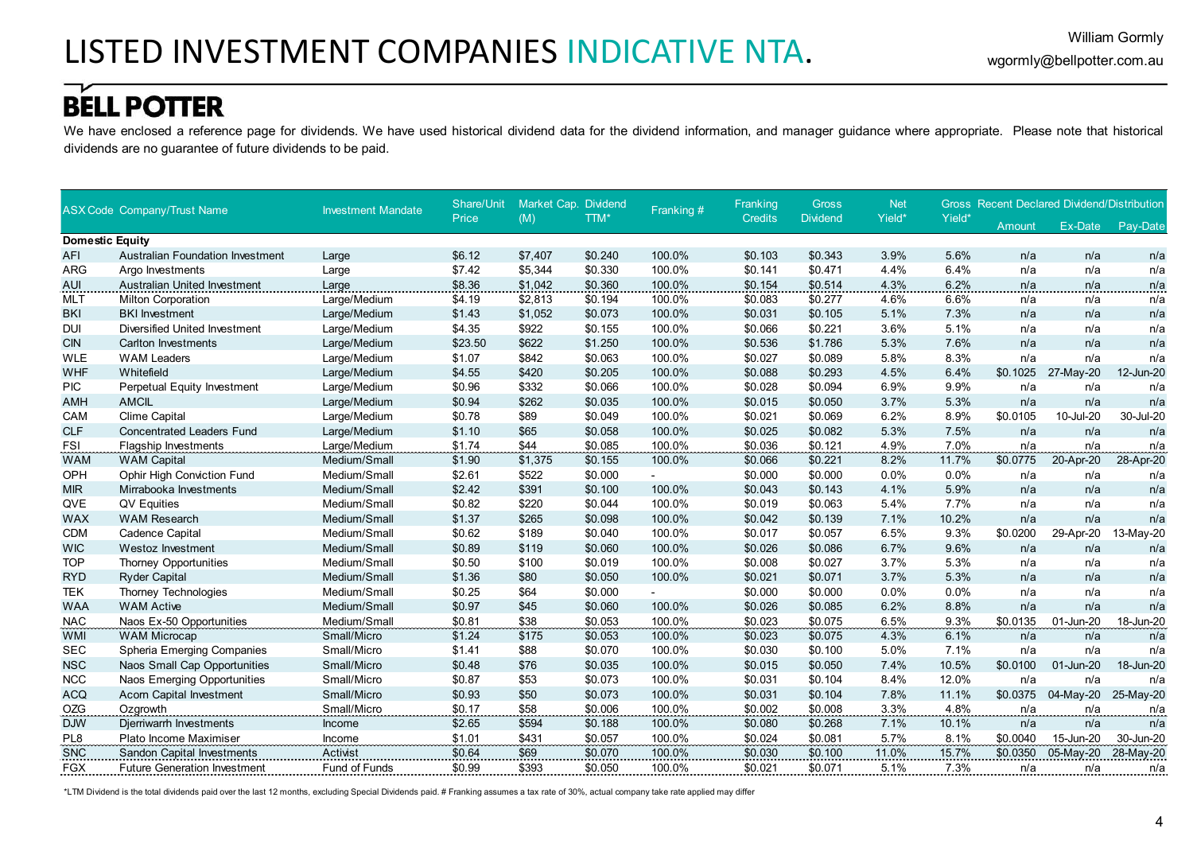We have enclosed a reference page for dividends. We have used historical dividend data for the dividend information, and manager guidance where appropriate. Please note that historical dividends are no guarantee of future dividends to be paid.

|                        | <b>ASX Code Company/Trust Name</b>      | <b>Investment Mandate</b> | Share/Unit | Market Cap. Dividend |         | Franking # | Franking       | <b>Gross</b>    | <b>Net</b> |        |          | <b>Gross Recent Declared Dividend/Distribution</b> |           |
|------------------------|-----------------------------------------|---------------------------|------------|----------------------|---------|------------|----------------|-----------------|------------|--------|----------|----------------------------------------------------|-----------|
|                        |                                         |                           | Price      | (M)                  | TTM*    |            | <b>Credits</b> | <b>Dividend</b> | Yield*     | Yield* | Amount   | Ex-Date                                            | Pay-Date  |
| <b>Domestic Equity</b> |                                         |                           |            |                      |         |            |                |                 |            |        |          |                                                    |           |
| <b>AFI</b>             | <b>Australian Foundation Investment</b> | Large                     | \$6.12     | \$7,407              | \$0.240 | 100.0%     | \$0.103        | \$0.343         | 3.9%       | 5.6%   | n/a      | n/a                                                | n/a       |
| <b>ARG</b>             | Argo Investments                        | Large                     | \$7.42     | \$5,344              | \$0.330 | 100.0%     | \$0.141        | \$0.471         | 4.4%       | 6.4%   | n/a      | n/a                                                | n/a       |
| AUI                    | <b>Australian United Investment</b>     | Large                     | \$8.36     | \$1,042              | \$0.360 | 100.0%     | \$0.154        | \$0.514         | 4.3%       | 6.2%   | n/a      | n/a                                                | n/a       |
| <b>MLT</b>             | <b>Milton Corporation</b>               | Large/Medium              | \$4.19     | \$2,813              | \$0.194 | 100.0%     | \$0.083        | \$0.277         | 4.6%       | 6.6%   | n/a      | n/a                                                | n/a       |
| <b>BKI</b>             | <b>BKI</b> Investment                   | Large/Medium              | \$1.43     | \$1,052              | \$0.073 | 100.0%     | \$0.031        | \$0.105         | 5.1%       | 7.3%   | n/a      | n/a                                                | n/a       |
| <b>DUI</b>             | Diversified United Investment           | Large/Medium              | \$4.35     | \$922                | \$0.155 | 100.0%     | \$0.066        | \$0.221         | 3.6%       | 5.1%   | n/a      | n/a                                                | n/a       |
| <b>CIN</b>             | <b>Carlton Investments</b>              | Large/Medium              | \$23.50    | \$622                | \$1.250 | 100.0%     | \$0.536        | \$1.786         | 5.3%       | 7.6%   | n/a      | n/a                                                | n/a       |
| <b>WLE</b>             | <b>WAM Leaders</b>                      | Large/Medium              | \$1.07     | \$842                | \$0.063 | 100.0%     | \$0.027        | \$0.089         | 5.8%       | 8.3%   | n/a      | n/a                                                | n/a       |
| WHF                    | Whitefield                              | Large/Medium              | \$4.55     | \$420                | \$0.205 | 100.0%     | \$0.088        | \$0.293         | 4.5%       | 6.4%   | \$0.1025 | 27-May-20                                          | 12-Jun-20 |
| <b>PIC</b>             | Perpetual Equity Investment             | Large/Medium              | \$0.96     | \$332                | \$0.066 | 100.0%     | \$0.028        | \$0.094         | 6.9%       | 9.9%   | n/a      | n/a                                                | n/a       |
| <b>AMH</b>             | <b>AMCIL</b>                            | Large/Medium              | \$0.94     | \$262                | \$0.035 | 100.0%     | \$0.015        | \$0.050         | 3.7%       | 5.3%   | n/a      | n/a                                                | n/a       |
| CAM                    | <b>Clime Capital</b>                    | Large/Medium              | \$0.78     | \$89                 | \$0.049 | 100.0%     | \$0.021        | \$0.069         | 6.2%       | 8.9%   | \$0.0105 | 10-Jul-20                                          | 30-Jul-20 |
| <b>CLF</b>             | <b>Concentrated Leaders Fund</b>        | Large/Medium              | \$1.10     | \$65                 | \$0.058 | 100.0%     | \$0.025        | \$0.082         | 5.3%       | 7.5%   | n/a      | n/a                                                | n/a       |
| <b>FSI</b>             | <b>Flagship Investments</b>             | Large/Medium              | \$1.74     | \$44                 | \$0.085 | 100.0%     | \$0.036        | \$0.121         | 4.9%       | 7.0%   | n/a      | n/a                                                | n/a       |
| <b>WAM</b>             | <b>WAM Capital</b>                      | Medium/Small              | \$1.90     | \$1,375              | \$0.155 | 100.0%     | \$0.066        | \$0.221         | 8.2%       | 11.7%  | \$0.0775 | 20-Apr-20                                          | 28-Apr-20 |
| OPH                    | <b>Ophir High Conviction Fund</b>       | Medium/Small              | \$2.61     | \$522                | \$0.000 |            | \$0.000        | \$0.000         | 0.0%       | 0.0%   | n/a      | n/a                                                | n/a       |
| <b>MIR</b>             | Mirrabooka Investments                  | Medium/Small              | \$2.42     | \$391                | \$0.100 | 100.0%     | \$0.043        | \$0.143         | 4.1%       | 5.9%   | n/a      | n/a                                                | n/a       |
| QVE                    | QV Equities                             | Medium/Small              | \$0.82     | \$220                | \$0.044 | 100.0%     | \$0.019        | \$0.063         | 5.4%       | 7.7%   | n/a      | n/a                                                | n/a       |
| <b>WAX</b>             | <b>WAM Research</b>                     | Medium/Small              | \$1.37     | \$265                | \$0.098 | 100.0%     | \$0.042        | \$0.139         | 7.1%       | 10.2%  | n/a      | n/a                                                | n/a       |
| <b>CDM</b>             | <b>Cadence Capital</b>                  | Medium/Small              | \$0.62     | \$189                | \$0.040 | 100.0%     | \$0.017        | \$0.057         | 6.5%       | 9.3%   | \$0.0200 | 29-Apr-20                                          | 13-May-20 |
| <b>WIC</b>             | <b>Westoz Investment</b>                | Medium/Small              | \$0.89     | \$119                | \$0.060 | 100.0%     | \$0.026        | \$0.086         | 6.7%       | 9.6%   | n/a      | n/a                                                | n/a       |
| <b>TOP</b>             | <b>Thorney Opportunities</b>            | Medium/Small              | \$0.50     | \$100                | \$0.019 | 100.0%     | \$0.008        | \$0.027         | 3.7%       | 5.3%   | n/a      | n/a                                                | n/a       |
| <b>RYD</b>             | <b>Ryder Capital</b>                    | Medium/Small              | \$1.36     | \$80                 | \$0.050 | 100.0%     | \$0.021        | \$0.071         | 3.7%       | 5.3%   | n/a      | n/a                                                | n/a       |
| <b>TEK</b>             | Thorney Technologies                    | Medium/Small              | \$0.25     | \$64                 | \$0.000 |            | \$0.000        | \$0.000         | 0.0%       | 0.0%   | n/a      | n/a                                                | n/a       |
| <b>WAA</b>             | <b>WAM Active</b>                       | Medium/Small              | \$0.97     | \$45                 | \$0.060 | 100.0%     | \$0.026        | \$0.085         | 6.2%       | 8.8%   | n/a      | n/a                                                | n/a       |
| <b>NAC</b>             | Naos Ex-50 Opportunities                | Medium/Small              | \$0.81     | \$38                 | \$0.053 | 100.0%     | \$0.023        | \$0.075         | 6.5%       | 9.3%   | \$0.0135 | 01-Jun-20                                          | 18-Jun-20 |
| <b>WMI</b>             | <b>WAM Microcap</b>                     | Small/Micro               | \$1.24     | \$175                | \$0.053 | 100.0%     | \$0.023        | \$0.075         | 4.3%       | 6.1%   | n/a      | n/a                                                | n/a       |
| <b>SEC</b>             | Spheria Emerging Companies              | Small/Micro               | \$1.41     | \$88                 | \$0.070 | 100.0%     | \$0.030        | \$0.100         | 5.0%       | 7.1%   | n/a      | n/a                                                | n/a       |
| <b>NSC</b>             | Naos Small Cap Opportunities            | Small/Micro               | \$0.48     | \$76                 | \$0.035 | 100.0%     | \$0.015        | \$0.050         | 7.4%       | 10.5%  | \$0.0100 | 01-Jun-20                                          | 18-Jun-20 |
| <b>NCC</b>             | Naos Emerging Opportunities             | Small/Micro               | \$0.87     | \$53                 | \$0.073 | 100.0%     | \$0.031        | \$0.104         | 8.4%       | 12.0%  | n/a      | n/a                                                | n/a       |
| <b>ACQ</b>             | <b>Acorn Capital Investment</b>         | Small/Micro               | \$0.93     | \$50                 | \$0.073 | 100.0%     | \$0.031        | \$0.104         | 7.8%       | 11.1%  | \$0.0375 | 04-May-20                                          | 25-May-20 |
| OZG                    | Ozgrowth                                | Small/Micro               | \$0.17     | \$58                 | \$0.006 | 100.0%     | \$0.002        | \$0.008         | 3.3%       | 4.8%   | n/a      | n/a                                                | n/a       |
| <b>DJW</b>             | Djerriwarrh Investments                 | Income                    | \$2.65     | \$594                | \$0.188 | 100.0%     | \$0.080        | \$0.268         | 7.1%       | 10.1%  | n/a      | n/a                                                | n/a       |
| PL8                    | Plato Income Maximiser                  | Income                    | \$1.01     | \$431                | \$0.057 | 100.0%     | \$0.024        | \$0.081         | 5.7%       | 8.1%   | \$0.0040 | 15-Jun-20                                          | 30-Jun-20 |
| <b>SNC</b>             | <b>Sandon Capital Investments</b>       | Activist                  | \$0.64     | \$69                 | \$0.070 | 100.0%     | \$0.030        | \$0.100         | 11.0%      | 15.7%  | \$0.0350 | 05-May-20                                          | 28-May-20 |
| <b>FGX</b>             | <b>Future Generation Investment</b>     | Fund of Funds             | \$0.99     | \$393                | \$0.050 | 100.0%     | \$0.021        | \$0.071         | 5.1%       | 7.3%   | n/a      | n/a                                                | n/a       |

\*LTM Dividend is the total dividends paid over the last 12 months, excluding Special Dividends paid. # Franking assumes a tax rate of 30%, actual company take rate applied may differ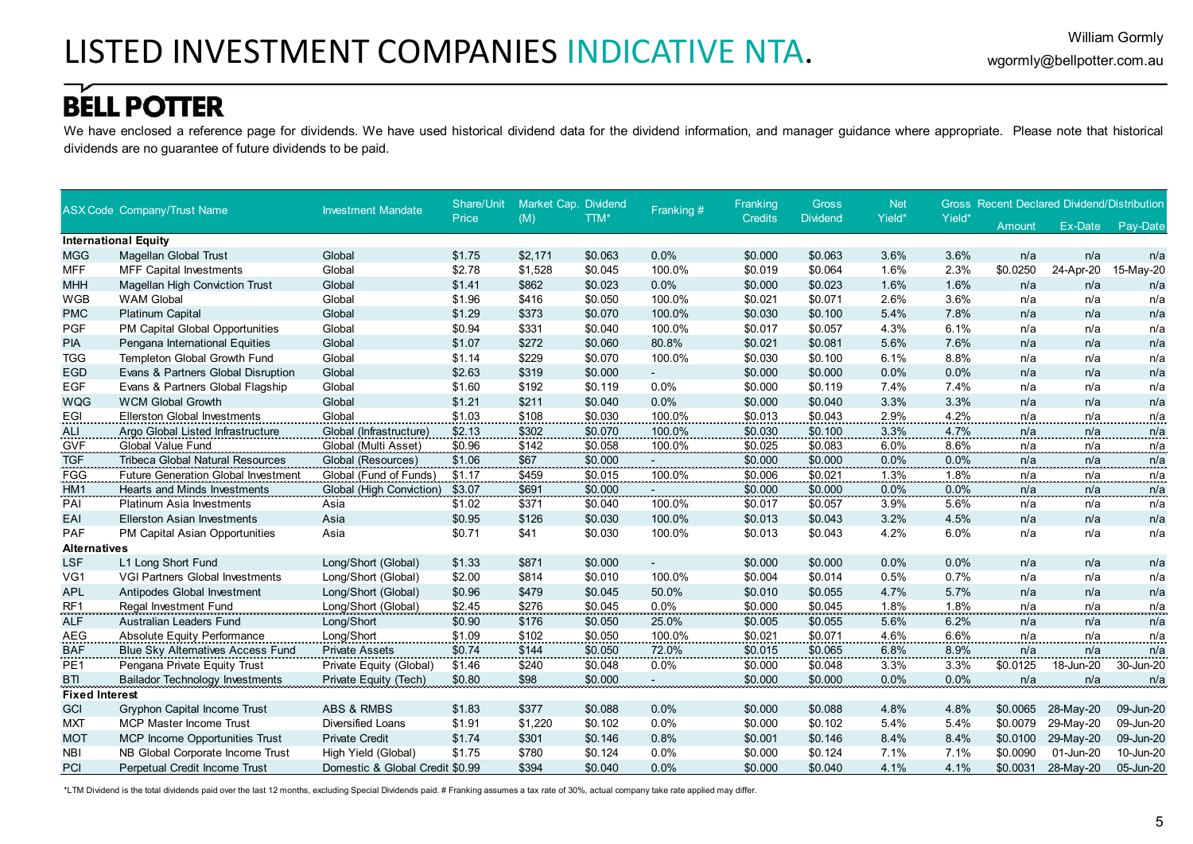We have enclosed a reference page for dividends. We have used historical dividend data for the dividend information, and manager guidance where appropriate. Please note that historical dividends are no guarantee of future dividends to be paid.

|                       | <b>ASX Code Company/Trust Name</b>         | <b>Investment Mandate</b>       | Share/Unit | Market Cap. Dividend |         | Franking #     | Franking       | <b>Gross</b>    | <b>Net</b> |        |            | <b>Gross Recent Declared Dividend/Distribution</b> |           |
|-----------------------|--------------------------------------------|---------------------------------|------------|----------------------|---------|----------------|----------------|-----------------|------------|--------|------------|----------------------------------------------------|-----------|
|                       |                                            |                                 | Price      | (M)                  | TTM*    |                | <b>Credits</b> | <b>Dividend</b> | Yield*     | Yield* | Amount     | Ex-Date                                            | Pay-Date  |
|                       | <b>International Equity</b>                |                                 |            |                      |         |                |                |                 |            |        |            |                                                    |           |
| <b>MGG</b>            | Magellan Global Trust                      | Global                          | \$1.75     | \$2,171              | \$0.063 | 0.0%           | \$0.000        | \$0.063         | 3.6%       | 3.6%   | n/a        | n/a                                                | n/a       |
| <b>MFF</b>            | <b>MFF Capital Investments</b>             | Global                          | \$2.78     | \$1,528              | \$0.045 | 100.0%         | \$0.019        | \$0.064         | 1.6%       | 2.3%   | \$0.0250   | 24-Apr-20                                          | 15-May-20 |
| <b>MHH</b>            | <b>Magellan High Conviction Trust</b>      | Global                          | \$1.41     | \$862                | \$0.023 | 0.0%           | \$0.000        | \$0.023         | 1.6%       | 1.6%   | n/a        | n/a                                                | n/a       |
| <b>WGB</b>            | <b>WAM Global</b>                          | Global                          | \$1.96     | \$416                | \$0.050 | 100.0%         | \$0.021        | \$0.071         | 2.6%       | 3.6%   | n/a        | n/a                                                | n/a       |
| <b>PMC</b>            | <b>Platinum Capital</b>                    | Global                          | \$1.29     | \$373                | \$0.070 | 100.0%         | \$0.030        | \$0.100         | 5.4%       | 7.8%   | n/a        | n/a                                                | n/a       |
| <b>PGF</b>            | PM Capital Global Opportunities            | Global                          | \$0.94     | \$331                | \$0.040 | 100.0%         | \$0.017        | \$0.057         | 4.3%       | 6.1%   | n/a        | n/a                                                | n/a       |
| PIA                   | Pengana International Equities             | Global                          | \$1.07     | \$272                | \$0.060 | 80.8%          | \$0.021        | \$0.081         | 5.6%       | 7.6%   | n/a        | n/a                                                | n/a       |
| <b>TGG</b>            | Templeton Global Growth Fund               | Global                          | \$1.14     | \$229                | \$0.070 | 100.0%         | \$0.030        | \$0.100         | 6.1%       | 8.8%   | n/a        | n/a                                                | n/a       |
| <b>EGD</b>            | Evans & Partners Global Disruption         | Global                          | \$2.63     | \$319                | \$0.000 |                | \$0.000        | \$0.000         | 0.0%       | 0.0%   | n/a        | n/a                                                | n/a       |
| <b>EGF</b>            | Evans & Partners Global Flagship           | Global                          | \$1.60     | \$192                | \$0.119 | 0.0%           | \$0.000        | \$0.119         | 7.4%       | 7.4%   | n/a        | n/a                                                | n/a       |
| <b>WQG</b>            | <b>WCM Global Growth</b>                   | Global                          | \$1.21     | \$211                | \$0.040 | 0.0%           | \$0.000        | \$0.040         | 3.3%       | 3.3%   | n/a        | n/a                                                | n/a       |
| EGI                   | <b>Ellerston Global Investments</b>        | Global                          | \$1.03     | \$108                | \$0.030 | 100.0%         | \$0.013        | \$0.043         | 2.9%       | 4.2%   | n/a        | n/a                                                | n/a       |
| ALI.                  | Argo Global Listed Infrastructure          | Global (Infrastructure)         | \$2.13     | \$302                | \$0.070 | 100.0%         | \$0.030        | \$0.100         | 3.3%       | 4.7%   | n/a        | n/a                                                | n/a       |
| <b>GVF</b>            | Global Value Fund                          | Global (Multi Asset)            | \$0.96     | \$142                | \$0.058 | 100.0%         | \$0.025        | \$0.083         | 6.0%       | 8.6%   | n/a        | n/a                                                | n/a       |
| <b>TGF</b>            | Tribeca Global Natural Resources           | Global (Resources)              | \$1.06     | \$67                 | \$0.000 |                | \$0.000        | \$0.000         | 0.0%       | 0.0%   | n/a        | n/a                                                | n/a       |
| FGG                   | <b>Future Generation Global Investment</b> | Global (Fund of Funds)          | \$1.17     | \$459                | \$0.015 | 100.0%         | \$0.006        | \$0.021         | 1.3%       | 1.8%   | n/a        | n/a                                                | n/a       |
| HM1                   | Hearts and Minds Investments               | Global (High Conviction)        | \$3.07     | \$691                | \$0.000 |                | \$0.000        | \$0.000         | 0.0%       | 0.0%   | n/a        | n/a                                                | n/a       |
| PAI                   | Platinum Asia Investments                  | Asia                            | \$1.02     | \$371                | \$0.040 | 100.0%         | \$0.017        | \$0.057         | 3.9%       | 5.6%   | n/a        | n/a                                                | n/a       |
| EAI                   | <b>Ellerston Asian Investments</b>         | Asia                            | \$0.95     | \$126                | \$0.030 | 100.0%         | \$0.013        | \$0.043         | 3.2%       | 4.5%   | n/a        | n/a                                                | n/a       |
| <b>PAF</b>            | PM Capital Asian Opportunities             | Asia                            | \$0.71     | \$41                 | \$0.030 | 100.0%         | \$0.013        | \$0.043         | 4.2%       | 6.0%   | n/a        | n/a                                                | n/a       |
| <b>Alternatives</b>   |                                            |                                 |            |                      |         |                |                |                 |            |        |            |                                                    |           |
| <b>LSF</b>            | L1 Long Short Fund                         | Long/Short (Global)             | \$1.33     | \$871                | \$0.000 | $\sim$         | \$0.000        | \$0.000         | 0.0%       | 0.0%   | n/a        | n/a                                                | n/a       |
| VG1                   | <b>VGI Partners Global Investments</b>     | Long/Short (Global)             | \$2.00     | \$814                | \$0.010 | 100.0%         | \$0.004        | \$0.014         | 0.5%       | 0.7%   | n/a        | n/a                                                | n/a       |
| <b>APL</b>            | Antipodes Global Investment                | Long/Short (Global)             | \$0.96     | \$479                | \$0.045 | 50.0%          | \$0.010        | \$0.055         | 4.7%       | 5.7%   | n/a        | n/a                                                | n/a       |
| RF <sub>1</sub>       | Regal Investment Fund<br>                  | Long/Short (Global)             | \$2.45     | \$276                | \$0.045 | $0.0\%$        | \$0.000        | \$0.045         | 1.8%       | 1.8%   | <u>n/a</u> | n/a                                                | n/a       |
| <b>ALF</b>            | Australian Leaders Fund                    | Long/Short                      | \$0.90     | \$176                | \$0.050 | 25.0%          | \$0.005        | \$0.055         | 5.6%       | 6.2%   | n/a        | n/a                                                | n/a       |
| AEG                   | Absolute Equity Performance                | Long/Short                      | \$1.09     | \$102                | \$0.050 | 100.0%         | \$0.021        | \$0.071         | 4.6%       | 6.6%   | n/a        | n/a                                                | n/a       |
| BAF                   | <b>Blue Sky Alternatives Access Fund</b>   | <b>Private Assets</b>           | \$0.74     | \$144                | \$0.050 | 72.0%          | \$0.015        | \$0.065         | 6.8%       | 8.9%   | n/a        | n/a                                                | n/a       |
| PE <sub>1</sub>       | Pengana Private Equity Trust               | Private Equity (Global)         | \$1.46     | \$240                | \$0.048 | 0.0%           | \$0.000        | \$0.048         | 3.3%       | 3.3%   | \$0.0125   | 18-Jun-20                                          | 30-Jun-20 |
| <b>BTI</b>            | <b>Bailador Technology Investments</b>     | Private Equity (Tech)           | \$0.80     | \$98                 | \$0.000 | $\overline{a}$ | \$0.000        | \$0.000         | 0.0%       | 0.0%   | n/a        | n/a                                                | n/a       |
| <b>Fixed Interest</b> |                                            |                                 |            |                      |         |                |                |                 |            |        |            |                                                    |           |
| GCI                   | <b>Gryphon Capital Income Trust</b>        | <b>ABS &amp; RMBS</b>           | \$1.83     | \$377                | \$0.088 | 0.0%           | \$0.000        | \$0.088         | 4.8%       | 4.8%   | \$0.0065   | 28-May-20                                          | 09-Jun-20 |
| <b>MXT</b>            | <b>MCP Master Income Trust</b>             | <b>Diversified Loans</b>        | \$1.91     | \$1,220              | \$0.102 | 0.0%           | \$0.000        | \$0.102         | 5.4%       | 5.4%   | \$0.0079   | 29-May-20                                          | 09-Jun-20 |
| <b>MOT</b>            | MCP Income Opportunities Trust             | <b>Private Credit</b>           | \$1.74     | \$301                | \$0.146 | 0.8%           | \$0.001        | \$0.146         | 8.4%       | 8.4%   | \$0.0100   | 29-May-20                                          | 09-Jun-20 |
| <b>NBI</b>            | NB Global Corporate Income Trust           | High Yield (Global)             | \$1.75     | \$780                | \$0.124 | 0.0%           | \$0.000        | \$0.124         | 7.1%       | 7.1%   | \$0.0090   | 01-Jun-20                                          | 10-Jun-20 |
| PCI                   | Perpetual Credit Income Trust              | Domestic & Global Credit \$0.99 |            | \$394                | \$0.040 | 0.0%           | \$0.000        | \$0.040         | 4.1%       | 4.1%   | \$0.0031   | 28-May-20                                          | 05-Jun-20 |

\*LTM Dividend is the total dividends paid over the last 12 months, excluding Special Dividends paid. # Franking assumes a tax rate of 30%, actual company take rate applied may differ.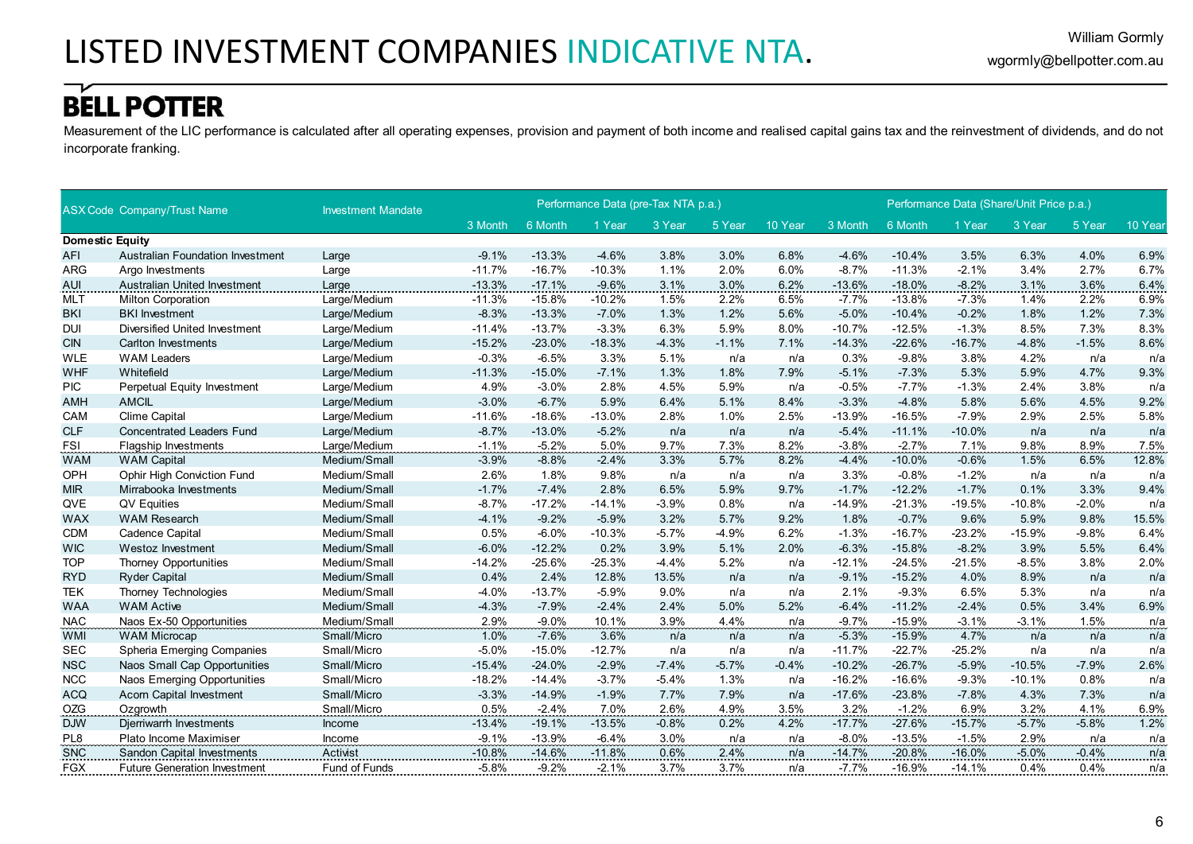Measurement of the LIC performance is calculated after all operating expenses, provision and payment of both income and realised capital gains tax and the reinvestment of dividends, and do not incorporate franking.

|                        | <b>ASX Code Company/Trust Name</b>      | <b>Investment Mandate</b> |          |          | Performance Data (pre-Tax NTA p.a.) |         |         |         |          |          | Performance Data (Share/Unit Price p.a.) |          |         |         |
|------------------------|-----------------------------------------|---------------------------|----------|----------|-------------------------------------|---------|---------|---------|----------|----------|------------------------------------------|----------|---------|---------|
|                        |                                         |                           | 3 Month  | 6 Month  | 1 Year                              | 3 Year  | 5 Year  | 10 Year | 3 Month  | 6 Month  | 1 Year                                   | 3 Year   | 5 Year  | 10 Year |
| <b>Domestic Equity</b> |                                         |                           |          |          |                                     |         |         |         |          |          |                                          |          |         |         |
| <b>AFI</b>             | <b>Australian Foundation Investment</b> | Large                     | $-9.1%$  | $-13.3%$ | $-4.6%$                             | 3.8%    | 3.0%    | 6.8%    | $-4.6%$  | $-10.4%$ | 3.5%                                     | 6.3%     | 4.0%    | 6.9%    |
| <b>ARG</b>             | Argo Investments                        | Large                     | $-11.7%$ | $-16.7%$ | $-10.3%$                            | 1.1%    | 2.0%    | 6.0%    | $-8.7%$  | $-11.3%$ | $-2.1%$                                  | 3.4%     | 2.7%    | 6.7%    |
| <b>AUI</b>             | <b>Australian United Investment</b>     | Large                     | $-13.3%$ | $-17.1%$ | $-9.6%$                             | 3.1%    | 3.0%    | 6.2%    | $-13.6%$ | $-18.0%$ | $-8.2%$                                  | 3.1%     | 3.6%    | 6.4%    |
| <b>MLT</b>             | Milton Corporation                      | Large/Medium              | $-11.3%$ | $-15.8%$ | $-10.2%$                            | 1.5%    | 2.2%    | 6.5%    | $-7.7%$  | $-13.8%$ | $-7.3%$                                  | 1.4%     | 2.2%    | 6.9%    |
| <b>BKI</b>             | <b>BKI</b> Investment                   | Large/Medium              | $-8.3%$  | $-13.3%$ | $-7.0%$                             | 1.3%    | 1.2%    | 5.6%    | $-5.0%$  | $-10.4%$ | $-0.2%$                                  | 1.8%     | 1.2%    | 7.3%    |
| <b>DUI</b>             | Diversified United Investment           | Large/Medium              | $-11.4%$ | $-13.7%$ | $-3.3%$                             | 6.3%    | 5.9%    | 8.0%    | $-10.7%$ | $-12.5%$ | $-1.3%$                                  | 8.5%     | 7.3%    | 8.3%    |
| <b>CIN</b>             | <b>Carlton Investments</b>              | Large/Medium              | $-15.2%$ | $-23.0%$ | $-18.3%$                            | $-4.3%$ | $-1.1%$ | 7.1%    | $-14.3%$ | $-22.6%$ | $-16.7%$                                 | $-4.8%$  | $-1.5%$ | 8.6%    |
| <b>WLE</b>             | <b>WAM Leaders</b>                      | Large/Medium              | $-0.3%$  | $-6.5%$  | 3.3%                                | 5.1%    | n/a     | n/a     | 0.3%     | $-9.8%$  | 3.8%                                     | 4.2%     | n/a     | n/a     |
| <b>WHF</b>             | Whitefield                              | Large/Medium              | $-11.3%$ | $-15.0%$ | $-7.1%$                             | 1.3%    | 1.8%    | 7.9%    | $-5.1%$  | $-7.3%$  | 5.3%                                     | 5.9%     | 4.7%    | 9.3%    |
| <b>PIC</b>             | Perpetual Equity Investment             | Large/Medium              | 4.9%     | $-3.0%$  | 2.8%                                | 4.5%    | 5.9%    | n/a     | $-0.5%$  | $-7.7%$  | $-1.3%$                                  | 2.4%     | 3.8%    | n/a     |
| <b>AMH</b>             | <b>AMCIL</b>                            | Large/Medium              | $-3.0%$  | $-6.7%$  | 5.9%                                | 6.4%    | 5.1%    | 8.4%    | $-3.3%$  | $-4.8%$  | 5.8%                                     | 5.6%     | 4.5%    | 9.2%    |
| CAM                    | <b>Clime Capital</b>                    | Large/Medium              | $-11.6%$ | $-18.6%$ | $-13.0%$                            | 2.8%    | 1.0%    | 2.5%    | $-13.9%$ | $-16.5%$ | $-7.9%$                                  | 2.9%     | 2.5%    | 5.8%    |
| <b>CLF</b>             | <b>Concentrated Leaders Fund</b>        | Large/Medium              | $-8.7%$  | $-13.0%$ | $-5.2%$                             | n/a     | n/a     | n/a     | $-5.4%$  | $-11.1%$ | $-10.0%$                                 | n/a      | n/a     | n/a     |
| <b>FSI</b>             | <b>Flagship Investments</b>             | Large/Medium              | $-1.1%$  | $-5.2%$  | 5.0%                                | 9.7%    | 7.3%    | 8.2%    | $-3.8%$  | $-2.7%$  | 7.1%                                     | 9.8%     | 8.9%    | 7.5%    |
| <b>WAM</b>             | <b>WAM Capital</b>                      | Medium/Small              | $-3.9%$  | $-8.8%$  | $-2.4%$                             | 3.3%    | 5.7%    | 8.2%    | $-4.4%$  | $-10.0%$ | $-0.6%$                                  | 1.5%     | 6.5%    | 12.8%   |
| OPH                    | <b>Ophir High Conviction Fund</b>       | Medium/Small              | 2.6%     | 1.8%     | 9.8%                                | n/a     | n/a     | n/a     | 3.3%     | $-0.8%$  | $-1.2%$                                  | n/a      | n/a     | n/a     |
| <b>MIR</b>             | Mirrabooka Investments                  | Medium/Small              | $-1.7%$  | $-7.4%$  | 2.8%                                | 6.5%    | 5.9%    | 9.7%    | $-1.7%$  | $-12.2%$ | $-1.7%$                                  | 0.1%     | 3.3%    | 9.4%    |
| QVE                    | QV Equities                             | Medium/Small              | $-8.7%$  | $-17.2%$ | $-14.1%$                            | $-3.9%$ | 0.8%    | n/a     | $-14.9%$ | $-21.3%$ | $-19.5%$                                 | $-10.8%$ | $-2.0%$ | n/a     |
| <b>WAX</b>             | <b>WAM Research</b>                     | Medium/Small              | $-4.1%$  | $-9.2%$  | $-5.9%$                             | 3.2%    | 5.7%    | 9.2%    | 1.8%     | $-0.7%$  | 9.6%                                     | 5.9%     | 9.8%    | 15.5%   |
| <b>CDM</b>             | <b>Cadence Capital</b>                  | Medium/Small              | 0.5%     | $-6.0%$  | $-10.3%$                            | $-5.7%$ | $-4.9%$ | 6.2%    | $-1.3%$  | $-16.7%$ | $-23.2%$                                 | $-15.9%$ | $-9.8%$ | 6.4%    |
| <b>WIC</b>             | <b>Westoz Investment</b>                | Medium/Small              | $-6.0%$  | $-12.2%$ | 0.2%                                | 3.9%    | 5.1%    | 2.0%    | $-6.3%$  | $-15.8%$ | $-8.2%$                                  | 3.9%     | 5.5%    | 6.4%    |
| <b>TOP</b>             | <b>Thorney Opportunities</b>            | Medium/Small              | $-14.2%$ | $-25.6%$ | $-25.3%$                            | $-4.4%$ | 5.2%    | n/a     | $-12.1%$ | $-24.5%$ | $-21.5%$                                 | $-8.5%$  | 3.8%    | 2.0%    |
| <b>RYD</b>             | <b>Ryder Capital</b>                    | Medium/Small              | 0.4%     | 2.4%     | 12.8%                               | 13.5%   | n/a     | n/a     | $-9.1%$  | $-15.2%$ | 4.0%                                     | 8.9%     | n/a     | n/a     |
| TEK                    | <b>Thorney Technologies</b>             | Medium/Small              | $-4.0%$  | $-13.7%$ | $-5.9%$                             | 9.0%    | n/a     | n/a     | 2.1%     | $-9.3%$  | 6.5%                                     | 5.3%     | n/a     | n/a     |
| <b>WAA</b>             | <b>WAM Active</b>                       | Medium/Small              | $-4.3%$  | $-7.9%$  | $-2.4%$                             | 2.4%    | 5.0%    | 5.2%    | $-6.4%$  | $-11.2%$ | $-2.4%$                                  | 0.5%     | 3.4%    | 6.9%    |
| <b>NAC</b>             | Naos Ex-50 Opportunities                | Medium/Small              | 2.9%     | $-9.0%$  | 10.1%                               | 3.9%    | 4.4%    | n/a     | $-9.7%$  | $-15.9%$ | $-3.1%$                                  | $-3.1%$  | 1.5%    | n/a     |
| <b>WMI</b>             | <b>WAM Microcap</b>                     | Small/Micro               | 1.0%     | $-7.6%$  | 3.6%                                | n/a     | n/a     | n/a     | $-5.3%$  | $-15.9%$ | 4.7%                                     | n/a      | n/a     | n/a     |
| <b>SEC</b>             | Spheria Emerging Companies              | Small/Micro               | $-5.0%$  | $-15.0%$ | $-12.7%$                            | n/a     | n/a     | n/a     | $-11.7%$ | $-22.7%$ | $-25.2%$                                 | n/a      | n/a     | n/a     |
| <b>NSC</b>             | Naos Small Cap Opportunities            | Small/Micro               | $-15.4%$ | $-24.0%$ | $-2.9%$                             | $-7.4%$ | $-5.7%$ | $-0.4%$ | $-10.2%$ | $-26.7%$ | $-5.9%$                                  | $-10.5%$ | $-7.9%$ | 2.6%    |
| <b>NCC</b>             | Naos Emerging Opportunities             | Small/Micro               | $-18.2%$ | $-14.4%$ | $-3.7%$                             | $-5.4%$ | 1.3%    | n/a     | $-16.2%$ | $-16.6%$ | $-9.3%$                                  | $-10.1%$ | 0.8%    | n/a     |
| <b>ACQ</b>             | <b>Acorn Capital Investment</b>         | Small/Micro               | $-3.3%$  | $-14.9%$ | $-1.9%$                             | 7.7%    | 7.9%    | n/a     | $-17.6%$ | $-23.8%$ | $-7.8%$                                  | 4.3%     | 7.3%    | n/a     |
| <b>OZG</b>             | Ozgrowth                                | Small/Micro               | 0.5%     | $-2.4%$  | 7.0%                                | 2.6%    | 4.9%    | 3.5%    | 3.2%     | $-1.2%$  | 6.9%                                     | 3.2%     | 4.1%    | 6.9%    |
| <b>DJW</b>             | Dierriwarrh Investments                 | Income                    | $-13.4%$ | $-19.1%$ | $-13.5%$                            | $-0.8%$ | 0.2%    | 4.2%    | $-17.7%$ | $-27.6%$ | $-15.7%$                                 | $-5.7%$  | $-5.8%$ | 1.2%    |
| PL <sub>8</sub>        | Plato Income Maximiser                  | Income                    | $-9.1%$  | $-13.9%$ | $-6.4%$                             | 3.0%    | n/a     | n/a     | $-8.0%$  | $-13.5%$ | $-1.5%$                                  | 2.9%     | n/a     | n/a     |
| <b>SNC</b>             | Sandon Capital Investments              | Activist                  | $-10.8%$ | $-14.6%$ | $-11.8%$                            | 0.6%    | 2.4%    | n/a     | $-14.7%$ | $-20.8%$ | $-16.0%$                                 | $-5.0%$  | $-0.4%$ | n/a     |
| <b>FGX</b>             | <b>Future Generation Investment</b>     | Fund of Funds             | $-5.8%$  | $-9.2%$  | $-2.1%$                             | 3.7%    | 3.7%    | n/a     | $-7.7%$  | $-16.9%$ | $-14.1%$                                 | 0.4%     | 0.4%    | n/a     |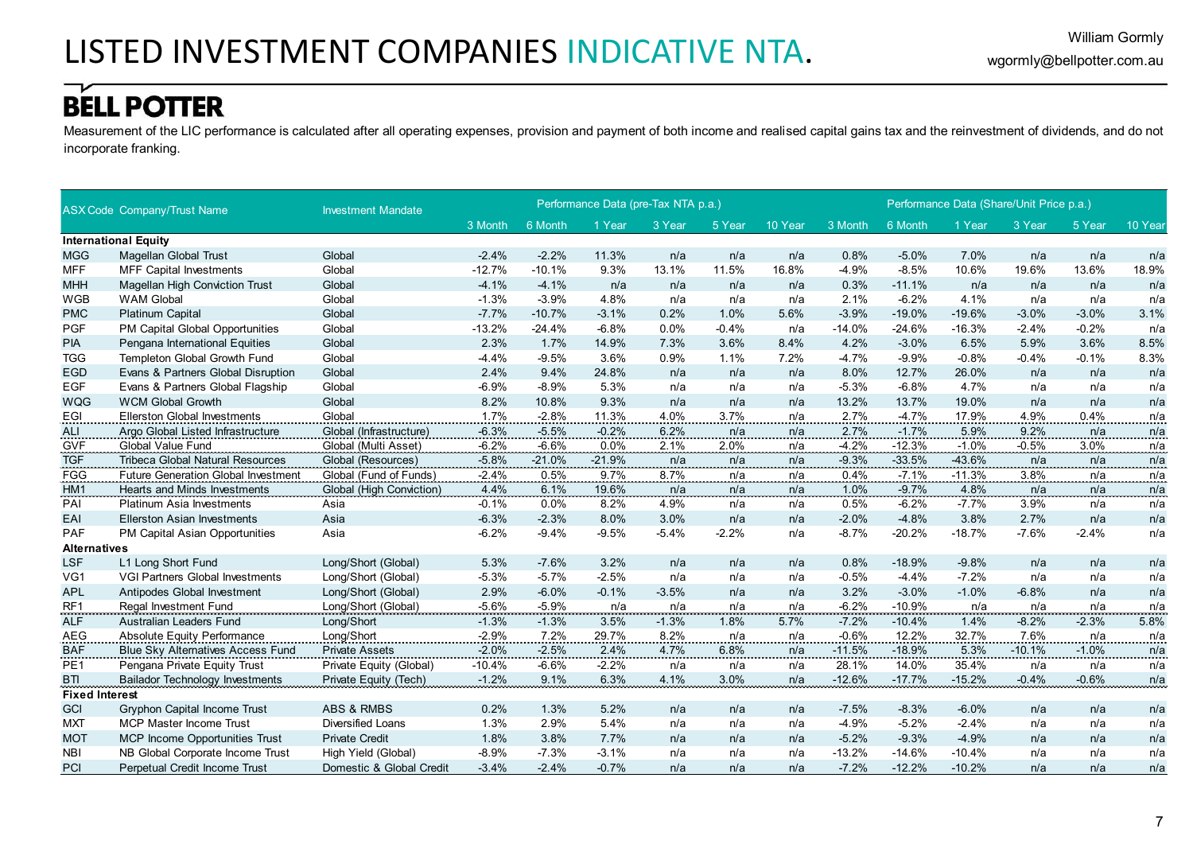Measurement of the LIC performance is calculated after all operating expenses, provision and payment of both income and realised capital gains tax and the reinvestment of dividends, and do not incorporate franking.

|                       | <b>ASX Code Company/Trust Name</b>         | <b>Investment Mandate</b> |          |          | Performance Data (pre-Tax NTA p.a.) |                  |              |            |          |          | Performance Data (Share/Unit Price p.a.) |          |         |         |
|-----------------------|--------------------------------------------|---------------------------|----------|----------|-------------------------------------|------------------|--------------|------------|----------|----------|------------------------------------------|----------|---------|---------|
|                       |                                            |                           | 3 Month  | 6 Month  | 1 Year                              | 3 Year           | 5 Year       | 10 Year    | 3 Month  | 6 Month  | 1 Year                                   | 3 Year   | 5 Year  | 10 Year |
|                       | <b>International Equity</b>                |                           |          |          |                                     |                  |              |            |          |          |                                          |          |         |         |
| <b>MGG</b>            | <b>Magellan Global Trust</b>               | Global                    | $-2.4%$  | $-2.2%$  | 11.3%                               | n/a              | n/a          | n/a        | 0.8%     | $-5.0%$  | 7.0%                                     | n/a      | n/a     | n/a     |
| <b>MFF</b>            | <b>MFF Capital Investments</b>             | Global                    | $-12.7%$ | $-10.1%$ | 9.3%                                | 13.1%            | 11.5%        | 16.8%      | $-4.9%$  | $-8.5%$  | 10.6%                                    | 19.6%    | 13.6%   | 18.9%   |
| <b>MHH</b>            | <b>Magellan High Conviction Trust</b>      | Global                    | $-4.1%$  | $-4.1%$  | n/a                                 | n/a              | n/a          | n/a        | 0.3%     | $-11.1%$ | n/a                                      | n/a      | n/a     | n/a     |
| <b>WGB</b>            | <b>WAM Global</b>                          | Global                    | $-1.3%$  | $-3.9%$  | 4.8%                                | n/a              | n/a          | n/a        | 2.1%     | $-6.2%$  | 4.1%                                     | n/a      | n/a     | n/a     |
| <b>PMC</b>            | <b>Platinum Capital</b>                    | Global                    | $-7.7%$  | $-10.7%$ | $-3.1%$                             | 0.2%             | 1.0%         | 5.6%       | $-3.9%$  | $-19.0%$ | $-19.6%$                                 | $-3.0%$  | $-3.0%$ | 3.1%    |
| <b>PGF</b>            | PM Capital Global Opportunities            | Global                    | $-13.2%$ | $-24.4%$ | $-6.8%$                             | 0.0%             | $-0.4%$      | n/a        | $-14.0%$ | $-24.6%$ | $-16.3%$                                 | $-2.4%$  | $-0.2%$ | n/a     |
| <b>PIA</b>            | Pengana International Equities             | Global                    | 2.3%     | 1.7%     | 14.9%                               | 7.3%             | 3.6%         | 8.4%       | 4.2%     | $-3.0%$  | 6.5%                                     | 5.9%     | 3.6%    | 8.5%    |
| <b>TGG</b>            | Templeton Global Growth Fund               | Global                    | $-4.4%$  | $-9.5%$  | 3.6%                                | 0.9%             | 1.1%         | 7.2%       | $-4.7%$  | $-9.9%$  | $-0.8%$                                  | $-0.4%$  | $-0.1%$ | 8.3%    |
| <b>EGD</b>            | Evans & Partners Global Disruption         | Global                    | 2.4%     | 9.4%     | 24.8%                               | n/a              | n/a          | n/a        | 8.0%     | 12.7%    | 26.0%                                    | n/a      | n/a     | n/a     |
| <b>EGF</b>            | Evans & Partners Global Flagship           | Global                    | $-6.9%$  | $-8.9%$  | 5.3%                                | n/a              | n/a          | n/a        | $-5.3%$  | $-6.8%$  | 4.7%                                     | n/a      | n/a     | n/a     |
| <b>WQG</b>            | <b>WCM Global Growth</b>                   | Global                    | 8.2%     | 10.8%    | 9.3%                                | n/a              | n/a          | n/a        | 13.2%    | 13.7%    | 19.0%                                    | n/a      | n/a     | n/a     |
| EGI                   | <b>Ellerston Global Investments</b>        | Global                    | 1.7%     | $-2.8%$  | 11.3%                               | 4.0%             | 3.7%         | n/a        | 2.7%     | $-4.7%$  | 17.9%                                    | 4.9%     | 0.4%    | n/a     |
| ALI                   | Argo Global Listed Infrastructure          | Global (Infrastructure)   | $-6.3%$  | $-5.5%$  | $-0.2%$                             | 6.2%             | $\ldots$ n/a | n/a        | 2.7%     | $-1.7%$  | 5.9%                                     | 9.2%     | n/a     | n/a     |
| GVF                   | <b>Global Value Fund</b>                   | Global (Multi Asset)      | $-6.2%$  | $-6.6%$  | 0.0%                                | 2.1%             | 2.0%         | n/a        | $-4.2%$  | $-12.3%$ | $-1.0%$                                  | $-0.5%$  | 3.0%    | n/a     |
| <b>TGF</b>            | <b>Tribeca Global Natural Resources</b>    | Global (Resources)        | $-5.8%$  | $-21.0%$ | $-21.9%$                            | n/a              | n/a          | n/a        | $-9.3%$  | $-33.5%$ | $-43.6%$                                 | n/a      | n/a     | n/a     |
| <b>FGG</b>            | <b>Future Generation Global Investment</b> | Global (Fund of Funds)    | $-2.4%$  | 0.5%     | 9.7%                                | 8.7%             | n/a          | n/a        | 0.4%     | $-7.1%$  | $-11.3%$                                 | 3.8%     | n/a     | n/a     |
| HM1                   | Hearts and Minds Investments               | Global (High Conviction)  | 4.4%     | 6.1%     | 19.6%                               | n/a              | n/a          | n/a        | 1.0%     | $-9.7%$  | 4.8%                                     | n/a      | n/a     | n/a     |
| PAI                   | <b>Platinum Asia Investments</b>           | Asia                      | $-0.1%$  | 0.0%     | 8.2%                                | 4.9%             | n/a          | n/a        | 0.5%     | $-6.2%$  | -7.7%                                    | 3.9%     | n/a     | n/a     |
| EAI                   | <b>Ellerston Asian Investments</b>         | Asia                      | $-6.3%$  | $-2.3%$  | 8.0%                                | 3.0%             | n/a          | n/a        | $-2.0%$  | $-4.8%$  | 3.8%                                     | 2.7%     | n/a     | n/a     |
| PAF                   | PM Capital Asian Opportunities             | Asia                      | $-6.2%$  | $-9.4%$  | $-9.5%$                             | $-5.4%$          | $-2.2%$      | n/a        | $-8.7%$  | $-20.2%$ | $-18.7%$                                 | $-7.6%$  | $-2.4%$ | n/a     |
| <b>Alternatives</b>   |                                            |                           |          |          |                                     |                  |              |            |          |          |                                          |          |         |         |
| <b>LSF</b>            | L1 Long Short Fund                         | Long/Short (Global)       | 5.3%     | $-7.6%$  | 3.2%                                | n/a              | n/a          | n/a        | 0.8%     | $-18.9%$ | $-9.8%$                                  | n/a      | n/a     | n/a     |
| VG1                   | <b>VGI Partners Global Investments</b>     | Long/Short (Global)       | $-5.3%$  | $-5.7%$  | $-2.5%$                             | n/a              | n/a          | n/a        | $-0.5%$  | $-4.4%$  | $-7.2%$                                  | n/a      | n/a     | n/a     |
| <b>APL</b>            | Antipodes Global Investment                | Long/Short (Global)       | 2.9%     | $-6.0%$  | $-0.1%$                             | $-3.5%$          | n/a          | n/a        | 3.2%     | $-3.0%$  | $-1.0%$                                  | $-6.8%$  | n/a     | n/a     |
| <u>RF1</u>            | Regal Investment Fund<br>                  | Long/Short (Global)       | $-5.6%$  | $-5.9%$  | n/a                                 | <sup>n/a</sup> . | <u>n/a</u>   | <u>n/a</u> | $-6.2%$  | $-10.9%$ | <u>n/a</u>                               |          | n/a     | n/a     |
| <b>ALF</b>            | Australian Leaders Fund                    | Long/Short                | $-1.3%$  | $-1.3%$  | 3.5%                                | $-1.3%$          | 1.8%         | 5.7%       | $-7.2%$  | $-10.4%$ | 1.4%                                     | $-8.2%$  | $-2.3%$ | 5.8%    |
| <b>AEG</b>            | Absolute Equity Performance                | Long/Short                | $-2.9%$  | 7.2%     | 29.7%                               | 8.2%             | n/a          | n/a        | $-0.6%$  | 12.2%    | 32.7%                                    | 7.6%     | n/a     | n/a     |
| <b>BAF</b>            | <b>Blue Sky Alternatives Access Fund</b>   | <b>Private Assets</b>     | $-2.0%$  | $-2.5%$  | 2.4%                                | 4.7%             | 6.8%         | n/a        | $-11.5%$ | $-18.9%$ | 5.3%                                     | $-10.1%$ | $-1.0%$ | n/a     |
| PE <sub>1</sub>       | Pengana Private Equity Trust               | Private Equity (Global)   | $-10.4%$ | $-6.6%$  | $-2.2%$                             | n/a              | n/a          | n/a        | 28.1%    | 14.0%    | 35.4%                                    | n/a      | n/a     | n/a     |
| <b>BTI</b>            | <b>Bailador Technology Investments</b>     | Private Equity (Tech)     | $-1.2%$  | 9.1%     | 6.3%                                | 4.1%             | 3.0%         | n/a        | $-12.6%$ | $-17.7%$ | $-15.2%$                                 | $-0.4%$  | $-0.6%$ | n/a     |
| <b>Fixed Interest</b> |                                            |                           |          |          |                                     |                  |              |            |          |          |                                          |          |         |         |
| GCI                   | <b>Gryphon Capital Income Trust</b>        | <b>ABS &amp; RMBS</b>     | 0.2%     | 1.3%     | 5.2%                                | n/a              | n/a          | n/a        | $-7.5%$  | $-8.3%$  | $-6.0%$                                  | n/a      | n/a     | n/a     |
| <b>MXT</b>            | <b>MCP Master Income Trust</b>             | <b>Diversified Loans</b>  | 1.3%     | 2.9%     | 5.4%                                | n/a              | n/a          | n/a        | $-4.9%$  | $-5.2%$  | $-2.4%$                                  | n/a      | n/a     | n/a     |
| <b>MOT</b>            | MCP Income Opportunities Trust             | <b>Private Credit</b>     | 1.8%     | 3.8%     | 7.7%                                | n/a              | n/a          | n/a        | $-5.2%$  | $-9.3%$  | $-4.9%$                                  | n/a      | n/a     | n/a     |
| <b>NBI</b>            | NB Global Corporate Income Trust           | High Yield (Global)       | $-8.9%$  | $-7.3%$  | $-3.1%$                             | n/a              | n/a          | n/a        | $-13.2%$ | $-14.6%$ | $-10.4%$                                 | n/a      | n/a     | n/a     |
| PCI                   | Perpetual Credit Income Trust              | Domestic & Global Credit  | $-3.4%$  | $-2.4%$  | $-0.7%$                             | n/a              | n/a          | n/a        | $-7.2%$  | $-12.2%$ | $-10.2%$                                 | n/a      | n/a     | n/a     |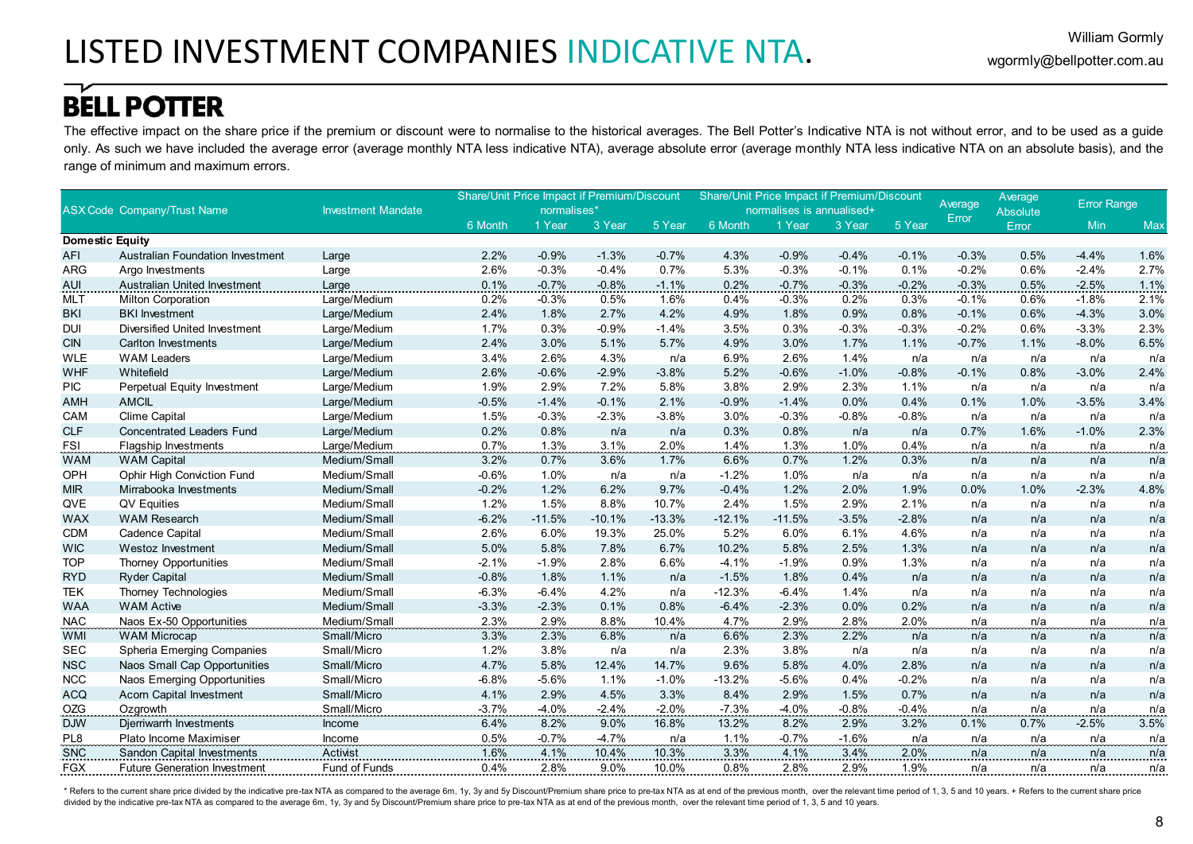The effective impact on the share price if the premium or discount were to normalise to the historical averages. The Bell Potter's Indicative NTA is not without error, and to be used as a guide only. As such we have included the average error (average monthly NTA less indicative NTA), average absolute error (average monthly NTA less indicative NTA on an absolute basis), and the range of minimum and maximum errors.

|                        |                                         |                           | <b>Share/Unit Price Impact if Premium/Discount</b> |             |          |          | <b>Share/Unit Price Impact if Premium/Discount</b> |                           |         |         |                  | Average      | <b>Error Range</b> |      |
|------------------------|-----------------------------------------|---------------------------|----------------------------------------------------|-------------|----------|----------|----------------------------------------------------|---------------------------|---------|---------|------------------|--------------|--------------------|------|
|                        | <b>ASX Code Company/Trust Name</b>      | <b>Investment Mandate</b> |                                                    | normalises* |          |          |                                                    | normalises is annualised+ |         |         | Average<br>Error | Absolute     |                    |      |
|                        |                                         |                           | 6 Month                                            | 1 Year      | 3 Year   | 5 Year   | 6 Month                                            | 1 Year                    | 3 Year  | 5 Year  |                  | <b>Error</b> | Min                | Max  |
| <b>Domestic Equity</b> |                                         |                           |                                                    |             |          |          |                                                    |                           |         |         |                  |              |                    |      |
| <b>AFI</b>             | <b>Australian Foundation Investment</b> | Large                     | 2.2%                                               | $-0.9%$     | $-1.3%$  | $-0.7%$  | 4.3%                                               | $-0.9%$                   | $-0.4%$ | $-0.1%$ | $-0.3%$          | 0.5%         | $-4.4%$            | 1.6% |
| <b>ARG</b>             | Argo Investments                        | Large                     | 2.6%                                               | $-0.3%$     | $-0.4%$  | 0.7%     | 5.3%                                               | $-0.3%$                   | $-0.1%$ | 0.1%    | $-0.2%$          | 0.6%         | $-2.4%$            | 2.7% |
| <b>AUI</b>             | Australian United Investment            | Large                     | 0.1%                                               | $-0.7%$     | $-0.8%$  | $-1.1%$  | 0.2%                                               | $-0.7%$                   | $-0.3%$ | $-0.2%$ | $-0.3%$          | 0.5%         | $-2.5%$            | 1.1% |
| <b>MLT</b>             | <b>Milton Corporation</b>               | Large/Medium              | 0.2%                                               | $-0.3%$     | 0.5%     | 1.6%     | 0.4%                                               | $-0.3%$                   | 0.2%    | 0.3%    | $-0.1%$          | 0.6%         | $-1.8%$            | 2.1% |
| <b>BKI</b>             | <b>BKI</b> Investment                   | Large/Medium              | 2.4%                                               | 1.8%        | 2.7%     | 4.2%     | 4.9%                                               | 1.8%                      | 0.9%    | 0.8%    | $-0.1%$          | 0.6%         | $-4.3%$            | 3.0% |
| <b>DUI</b>             | Diversified United Investment           | Large/Medium              | 1.7%                                               | 0.3%        | $-0.9%$  | $-1.4%$  | 3.5%                                               | 0.3%                      | $-0.3%$ | $-0.3%$ | $-0.2%$          | 0.6%         | $-3.3%$            | 2.3% |
| <b>CIN</b>             | Carlton Investments                     | Large/Medium              | 2.4%                                               | 3.0%        | 5.1%     | 5.7%     | 4.9%                                               | 3.0%                      | 1.7%    | 1.1%    | $-0.7%$          | 1.1%         | $-8.0%$            | 6.5% |
| <b>WLE</b>             | <b>WAM Leaders</b>                      | Large/Medium              | 3.4%                                               | 2.6%        | 4.3%     | n/a      | 6.9%                                               | 2.6%                      | 1.4%    | n/a     | n/a              | n/a          | n/a                | n/a  |
| <b>WHF</b>             | Whitefield                              | Large/Medium              | 2.6%                                               | $-0.6%$     | $-2.9%$  | $-3.8%$  | 5.2%                                               | $-0.6%$                   | $-1.0%$ | $-0.8%$ | $-0.1%$          | 0.8%         | $-3.0%$            | 2.4% |
| <b>PIC</b>             | Perpetual Equity Investment             | Large/Medium              | 1.9%                                               | 2.9%        | 7.2%     | 5.8%     | 3.8%                                               | 2.9%                      | 2.3%    | 1.1%    | n/a              | n/a          | n/a                | n/a  |
| <b>AMH</b>             | <b>AMCIL</b>                            | Large/Medium              | $-0.5%$                                            | $-1.4%$     | $-0.1%$  | 2.1%     | $-0.9%$                                            | $-1.4%$                   | 0.0%    | 0.4%    | 0.1%             | 1.0%         | $-3.5%$            | 3.4% |
| CAM                    | <b>Clime Capital</b>                    | Large/Medium              | 1.5%                                               | $-0.3%$     | $-2.3%$  | $-3.8%$  | 3.0%                                               | $-0.3%$                   | $-0.8%$ | $-0.8%$ | n/a              | n/a          | n/a                | n/a  |
| <b>CLF</b>             | <b>Concentrated Leaders Fund</b>        | Large/Medium              | 0.2%                                               | 0.8%        | n/a      | n/a      | 0.3%                                               | 0.8%                      | n/a     | n/a     | 0.7%             | 1.6%         | $-1.0%$            | 2.3% |
| <b>FSI</b>             | <b>Flagship Investments</b>             | Large/Medium              | 0.7%                                               | 1.3%        | 3.1%     | 2.0%     | 1.4%                                               | 1.3%                      | 1.0%    | 0.4%    | n/a              | n/a          | n/a                | n/a  |
| <b>WAM</b>             | <b>WAM Capital</b>                      | Medium/Small              | 3.2%                                               | 0.7%        | 3.6%     | 1.7%     | 6.6%                                               | 0.7%                      | 1.2%    | 0.3%    | n/a              | n/a          | n/a                | n/a  |
| OPH                    | <b>Ophir High Conviction Fund</b>       | Medium/Small              | $-0.6%$                                            | 1.0%        | n/a      | n/a      | $-1.2%$                                            | 1.0%                      | n/a     | n/a     | n/a              | n/a          | n/a                | n/a  |
| <b>MIR</b>             | Mirrabooka Investments                  | Medium/Small              | $-0.2%$                                            | 1.2%        | 6.2%     | 9.7%     | $-0.4%$                                            | 1.2%                      | 2.0%    | 1.9%    | 0.0%             | 1.0%         | $-2.3%$            | 4.8% |
| QVE                    | QV Equities                             | Medium/Small              | 1.2%                                               | 1.5%        | 8.8%     | 10.7%    | 2.4%                                               | 1.5%                      | 2.9%    | 2.1%    | n/a              | n/a          | n/a                | n/a  |
| <b>WAX</b>             | <b>WAM Research</b>                     | Medium/Small              | $-6.2%$                                            | $-11.5%$    | $-10.1%$ | $-13.3%$ | $-12.1%$                                           | $-11.5%$                  | $-3.5%$ | $-2.8%$ | n/a              | n/a          | n/a                | n/a  |
| <b>CDM</b>             | Cadence Capital                         | Medium/Small              | 2.6%                                               | 6.0%        | 19.3%    | 25.0%    | 5.2%                                               | 6.0%                      | 6.1%    | 4.6%    | n/a              | n/a          | n/a                | n/a  |
| <b>WIC</b>             | <b>Westoz Investment</b>                | Medium/Small              | 5.0%                                               | 5.8%        | 7.8%     | 6.7%     | 10.2%                                              | 5.8%                      | 2.5%    | 1.3%    | n/a              | n/a          | n/a                | n/a  |
| <b>TOP</b>             | <b>Thorney Opportunities</b>            | Medium/Small              | $-2.1%$                                            | $-1.9%$     | 2.8%     | 6.6%     | $-4.1%$                                            | $-1.9%$                   | 0.9%    | 1.3%    | n/a              | n/a          | n/a                | n/a  |
| <b>RYD</b>             | <b>Ryder Capital</b>                    | Medium/Small              | $-0.8%$                                            | 1.8%        | 1.1%     | n/a      | $-1.5%$                                            | 1.8%                      | 0.4%    | n/a     | n/a              | n/a          | n/a                | n/a  |
| <b>TEK</b>             | Thorney Technologies                    | Medium/Small              | $-6.3%$                                            | $-6.4%$     | 4.2%     | n/a      | $-12.3%$                                           | $-6.4%$                   | 1.4%    | n/a     | n/a              | n/a          | n/a                | n/a  |
| <b>WAA</b>             | <b>WAM Active</b>                       | Medium/Small              | $-3.3%$                                            | $-2.3%$     | 0.1%     | 0.8%     | $-6.4%$                                            | $-2.3%$                   | 0.0%    | 0.2%    | n/a              | n/a          | n/a                | n/a  |
| <b>NAC</b>             | Naos Ex-50 Opportunities                | Medium/Small              | 2.3%                                               | 2.9%        | 8.8%     | 10.4%    | 4.7%                                               | 2.9%                      | 2.8%    | 2.0%    | n/a              | n/a          | n/a                | n/a  |
| <b>WMI</b>             | <b>WAM Microcap</b>                     | Small/Micro               | 3.3%                                               | 2.3%        | 6.8%     | n/a      | 6.6%                                               | 2.3%                      | 2.2%    | n/a     | n/a              | n/a          | n/a                | n/a  |
| <b>SEC</b>             | Spheria Emerging Companies              | Small/Micro               | 1.2%                                               | 3.8%        | n/a      | n/a      | 2.3%                                               | 3.8%                      | n/a     | n/a     | n/a              | n/a          | n/a                | n/a  |
| <b>NSC</b>             | Naos Small Cap Opportunities            | Small/Micro               | 4.7%                                               | 5.8%        | 12.4%    | 14.7%    | 9.6%                                               | 5.8%                      | 4.0%    | 2.8%    | n/a              | n/a          | n/a                | n/a  |
| <b>NCC</b>             | Naos Emerging Opportunities             | Small/Micro               | $-6.8%$                                            | $-5.6%$     | 1.1%     | $-1.0%$  | $-13.2%$                                           | $-5.6%$                   | 0.4%    | $-0.2%$ | n/a              | n/a          | n/a                | n/a  |
| <b>ACQ</b>             | Acorn Capital Investment                | Small/Micro               | 4.1%                                               | 2.9%        | 4.5%     | 3.3%     | 8.4%                                               | 2.9%                      | 1.5%    | 0.7%    | n/a              | n/a          | n/a                | n/a  |
| <b>OZG</b>             | Ozgrowth                                | Small/Micro               | $-3.7%$                                            | $-4.0%$     | $-2.4%$  | $-2.0%$  | $-7.3%$                                            | $-4.0%$                   | $-0.8%$ | $-0.4%$ | n/a              | n/a          | n/a                | n/a  |
| <b>DJW</b>             | Djerriwarrh Investments                 | Income                    | 6.4%                                               | 8.2%        | 9.0%     | 16.8%    | 13.2%                                              | 8.2%                      | 2.9%    | 3.2%    | 0.1%             | 0.7%         | $-2.5%$            | 3.5% |
| PL8                    | Plato Income Maximiser                  | Income                    | 0.5%                                               | $-0.7%$     | $-4.7%$  | n/a      | 1.1%                                               | $-0.7%$                   | $-1.6%$ | n/a     | n/a              | n/a          | n/a                | n/a  |
| <b>SNC</b>             | <b>Sandon Capital Investments</b>       | Activist                  | 1.6%                                               | 4.1%        | 10.4%    | 10.3%    | 3.3%                                               | 4.1%                      | 3.4%    | 2.0%    | n/a              | n/a          | n/a                | n/a  |
| <b>FGX</b>             | <b>Future Generation Investment</b>     | Fund of Funds             | 0.4%                                               | 2.8%        | 9.0%     | 10.0%    | 0.8%                                               | 2.8%                      | 2.9%    | 1.9%    | n/a              | n/a          | n/a                | n/a  |

\* Refers to the current share price divided by the indicative pre-tax NTA as compared to the average 6m, 1y, 3y and 5y Discount/Premium share price to pre-tax NTA as at end of the previous month, over the relevant time per divided by the indicative pre-tax NTA as compared to the average 6m, 1y, 3y and 5y Discount/Premium share price to pre-tax NTA as at end of the previous month, over the relevant time period of 1, 3, 5 and 10 years.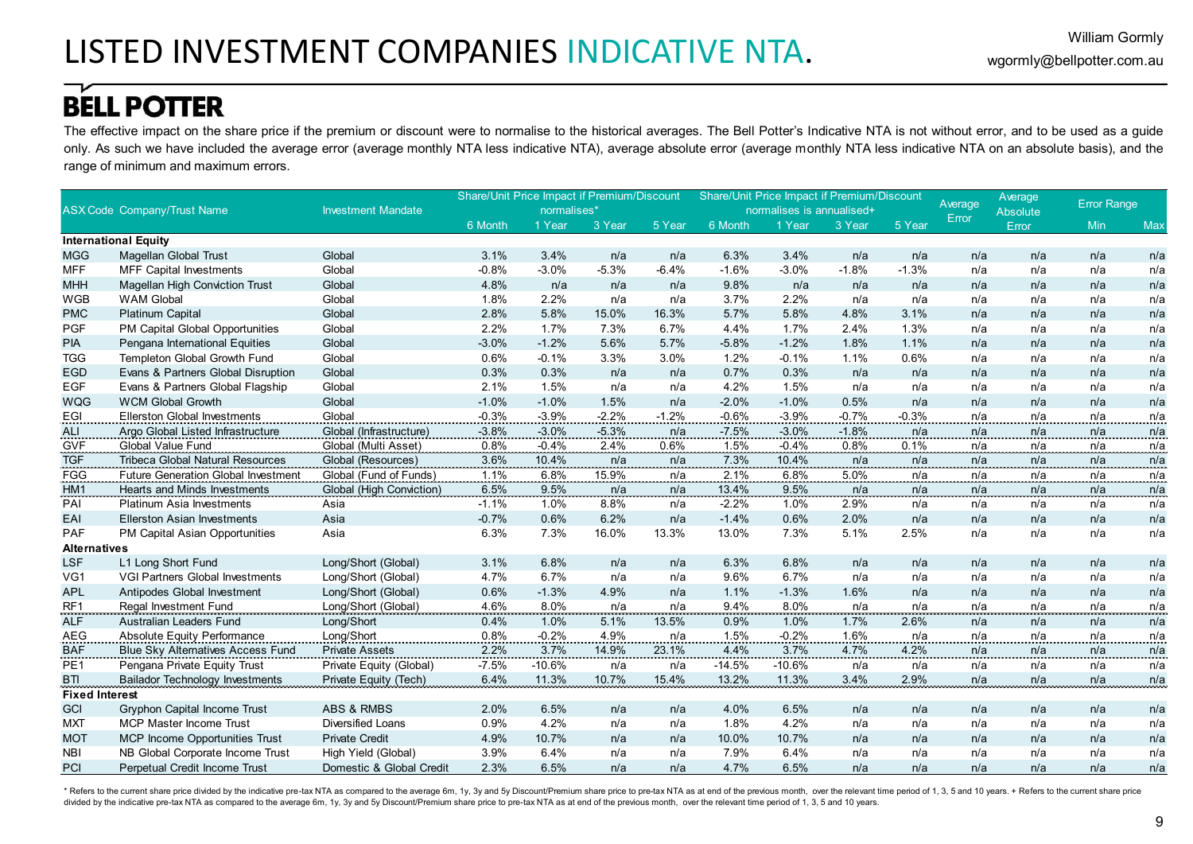The effective impact on the share price if the premium or discount were to normalise to the historical averages. The Bell Potter's Indicative NTA is not without error, and to be used as a guide only. As such we have included the average error (average monthly NTA less indicative NTA), average absolute error (average monthly NTA less indicative NTA on an absolute basis), and the range of minimum and maximum errors.

|                       |                                            |                           |         | <b>Share/Unit Price Impact if Premium/Discount</b> |          |         |          |                           | Share/Unit Price Impact if Premium/Discount |         |         | Average         | <b>Error Range</b> |            |
|-----------------------|--------------------------------------------|---------------------------|---------|----------------------------------------------------|----------|---------|----------|---------------------------|---------------------------------------------|---------|---------|-----------------|--------------------|------------|
|                       | <b>ASX Code Company/Trust Name</b>         | <b>Investment Mandate</b> |         | normalises*                                        |          |         |          | normalises is annualised+ |                                             |         | Average | <b>Absolute</b> |                    |            |
|                       |                                            |                           | 6 Month | 1 Year                                             | 3 Year   | 5 Year  | 6 Month  | 1 Year                    | 3 Year                                      | 5 Year  | Error   | Error           | Min                | Max        |
|                       | <b>International Equity</b>                |                           |         |                                                    |          |         |          |                           |                                             |         |         |                 |                    |            |
| <b>MGG</b>            | <b>Magellan Global Trust</b>               | Global                    | 3.1%    | 3.4%                                               | n/a      | n/a     | 6.3%     | 3.4%                      | n/a                                         | n/a     | n/a     | n/a             | n/a                | n/a        |
| <b>MFF</b>            | <b>MFF Capital Investments</b>             | Global                    | $-0.8%$ | $-3.0%$                                            | $-5.3%$  | $-6.4%$ | $-1.6%$  | $-3.0%$                   | $-1.8%$                                     | $-1.3%$ | n/a     | n/a             | n/a                | n/a        |
| <b>MHH</b>            | <b>Magellan High Conviction Trust</b>      | Global                    | 4.8%    | n/a                                                | n/a      | n/a     | 9.8%     | n/a                       | n/a                                         | n/a     | n/a     | n/a             | n/a                | n/a        |
| <b>WGB</b>            | <b>WAM Global</b>                          | Global                    | 1.8%    | 2.2%                                               | n/a      | n/a     | 3.7%     | 2.2%                      | n/a                                         | n/a     | n/a     | n/a             | n/a                | n/a        |
| <b>PMC</b>            | <b>Platinum Capital</b>                    | Global                    | 2.8%    | 5.8%                                               | 15.0%    | 16.3%   | 5.7%     | 5.8%                      | 4.8%                                        | 3.1%    | n/a     | n/a             | n/a                | n/a        |
| <b>PGF</b>            | PM Capital Global Opportunities            | Global                    | 2.2%    | 1.7%                                               | 7.3%     | 6.7%    | 4.4%     | 1.7%                      | 2.4%                                        | 1.3%    | n/a     | n/a             | n/a                | n/a        |
| <b>PIA</b>            | Pengana International Equities             | Global                    | $-3.0%$ | $-1.2%$                                            | 5.6%     | 5.7%    | $-5.8%$  | $-1.2%$                   | 1.8%                                        | 1.1%    | n/a     | n/a             | n/a                | n/a        |
| <b>TGG</b>            | Templeton Global Growth Fund               | Global                    | 0.6%    | $-0.1%$                                            | 3.3%     | 3.0%    | 1.2%     | $-0.1%$                   | 1.1%                                        | 0.6%    | n/a     | n/a             | n/a                | n/a        |
| <b>EGD</b>            | Evans & Partners Global Disruption         | Global                    | 0.3%    | 0.3%                                               | n/a      | n/a     | 0.7%     | 0.3%                      | n/a                                         | n/a     | n/a     | n/a             | n/a                | n/a        |
| <b>EGF</b>            | Evans & Partners Global Flagship           | Global                    | 2.1%    | 1.5%                                               | n/a      | n/a     | 4.2%     | 1.5%                      | n/a                                         | n/a     | n/a     | n/a             | n/a                | n/a        |
| <b>WQG</b>            | <b>WCM Global Growth</b>                   | Global                    | $-1.0%$ | $-1.0%$                                            | 1.5%     | n/a     | $-2.0%$  | $-1.0%$                   | 0.5%                                        | n/a     | n/a     | n/a             | n/a                | n/a        |
| EGI                   | <b>Ellerston Global Investments</b>        | Global                    | $-0.3%$ | $-3.9%$                                            | $-2.2%$  | $-1.2%$ | $-0.6%$  | $-3.9%$                   | $-0.7%$                                     | $-0.3%$ | n/a     | n/a             | n/a                | n/a        |
| ALI                   | Argo Global Listed Infrastructure          | Global (Infrastructure)   | $-3.8%$ | $-3.0%$                                            | $-5.3\%$ | n/a     | $-7.5%$  | $-3.0%$                   | $-1.8%$                                     | n/a     | n/a     | n/a             | n/a                | n/a        |
| <b>GVF</b>            | <b>Global Value Fund</b>                   | Global (Multi Asset)      | 0.8%    | $-0.4%$                                            | 2.4%     | 0.6%    | 1.5%     | $-0.4%$                   | 0.8%                                        | 0.1%    | n/a     | n/a             | n/a                | n/a        |
| <b>TGF</b>            | <b>Tribeca Global Natural Resources</b>    | Global (Resources)        | 3.6%    | 10.4%                                              | n/a      | n/a     | 7.3%     | 10.4%                     | n/a                                         | n/a     | n/a     | n/a             | n/a                | n/a        |
| <b>FGG</b>            | <b>Future Generation Global Investment</b> | Global (Fund of Funds)    | 1.1%    | 6.8%                                               | 15.9%    | n/a     | 2.1%     | 6.8%                      | 5.0%                                        | n/a     | n/a     | n/a             | n/a                | n/a        |
| HM1                   | <b>Hearts and Minds Investments</b>        | Global (High Conviction)  | 6.5%    | 9.5%                                               | n/a      | n/a     | 13.4%    | 9.5%                      | n/a                                         | n/a     | n/a     | n/a             | n/a                | n/a        |
| PAI                   | <b>Platinum Asia Investments</b>           | Asia                      | $-1.1%$ | 1.0%                                               | 8.8%     | n/a     | $-2.2%$  | 1.0%                      | 2.9%                                        | n/a     | n/a     | n/a             | n/a                | n/a        |
| EAI                   | <b>Ellerston Asian Investments</b>         | Asia                      | $-0.7%$ | 0.6%                                               | 6.2%     | n/a     | $-1.4%$  | 0.6%                      | 2.0%                                        | n/a     | n/a     | n/a             | n/a                | n/a        |
| <b>PAF</b>            | PM Capital Asian Opportunities             | Asia                      | 6.3%    | 7.3%                                               | 16.0%    | 13.3%   | 13.0%    | 7.3%                      | 5.1%                                        | 2.5%    | n/a     | n/a             | n/a                | n/a        |
| <b>Alternatives</b>   |                                            |                           |         |                                                    |          |         |          |                           |                                             |         |         |                 |                    |            |
| <b>LSF</b>            | L1 Long Short Fund                         | Long/Short (Global)       | 3.1%    | 6.8%                                               | n/a      | n/a     | 6.3%     | 6.8%                      | n/a                                         | n/a     | n/a     | n/a             | n/a                | n/a        |
| VG <sub>1</sub>       | VGI Partners Global Investments            | Long/Short (Global)       | 4.7%    | 6.7%                                               | n/a      | n/a     | 9.6%     | 6.7%                      | n/a                                         | n/a     | n/a     | n/a             | n/a                | n/a        |
| <b>APL</b>            | Antipodes Global Investment                | Long/Short (Global)       | 0.6%    | $-1.3%$                                            | 4.9%     | n/a     | 1.1%     | $-1.3%$                   | 1.6%                                        | n/a     | n/a     | n/a             | n/a                | n/a        |
| <u>RF1</u>            | Regal Investment Fund                      | Long/Short (Global)       | 4.6%    | 8.0%                                               | n/a      | n/a     | 9.4%     | $8.0\%$                   | .n/a                                        | n/a     | n/a     | <u>n/a.</u>     | n/a                | <u>n/a</u> |
| <b>ALF</b>            | Australian Leaders Fund                    | Long/Short                | 0.4%    | 1.0%                                               | 5.1%     | 13.5%   | 0.9%     | 1.0%                      | 1.7%                                        | 2.6%    | n/a     | n/a             | n/a                | n/a        |
| AEG                   | Absolute Equity Performance                | Long/Short                | 0.8%    | $-0.2%$                                            | 4.9%     | n/a     | 1.5%     | $-0.2%$                   | 1.6%                                        | n/a     | n/a     | n/a             | n/a                | n/a        |
| <b>BAF</b>            | Blue Sky Alternatives Access Fund          | <b>Private Assets</b>     | $2.2\%$ | 3.7%                                               | 14.9%    | 23.1%   | 4.4%     | 3.7%                      | 4.7%                                        | 4.2%    | n/a     | n/a             | n/a                | n/a        |
| PE <sub>1</sub>       | Pengana Private Equity Trust               | Private Equity (Global)   | $-7.5%$ | $-10.6%$                                           | n/a      | n/a     | $-14.5%$ | $-10.6%$                  | n/a                                         | n/a     | n/a     | n/a             | n/a                | n/a        |
| <b>BTI</b>            | <b>Bailador Technology Investments</b>     | Private Equity (Tech)     | 6.4%    | 11.3%                                              | 10.7%    | 15.4%   | 13.2%    | 11.3%                     | 3.4%                                        | 2.9%    | n/a     | n/a             | n/a                | n/a        |
| <b>Fixed Interest</b> |                                            |                           |         |                                                    |          |         |          |                           |                                             |         |         |                 |                    |            |
| GCI                   | Gryphon Capital Income Trust               | <b>ABS &amp; RMBS</b>     | 2.0%    | 6.5%                                               | n/a      | n/a     | 4.0%     | 6.5%                      | n/a                                         | n/a     | n/a     | n/a             | n/a                | n/a        |
| <b>MXT</b>            | <b>MCP Master Income Trust</b>             | Diversified Loans         | 0.9%    | 4.2%                                               | n/a      | n/a     | 1.8%     | 4.2%                      | n/a                                         | n/a     | n/a     | n/a             | n/a                | n/a        |
| <b>MOT</b>            | MCP Income Opportunities Trust             | <b>Private Credit</b>     | 4.9%    | 10.7%                                              | n/a      | n/a     | 10.0%    | 10.7%                     | n/a                                         | n/a     | n/a     | n/a             | n/a                | n/a        |
| <b>NBI</b>            | NB Global Corporate Income Trust           | High Yield (Global)       | 3.9%    | 6.4%                                               | n/a      | n/a     | 7.9%     | 6.4%                      | n/a                                         | n/a     | n/a     | n/a             | n/a                | n/a        |
| PCI                   | Perpetual Credit Income Trust              | Domestic & Global Credit  | 2.3%    | 6.5%                                               | n/a      | n/a     | 4.7%     | 6.5%                      | n/a                                         | n/a     | n/a     | n/a             | n/a                | n/a        |

\* Refers to the current share price divided by the indicative pre-tax NTA as compared to the average 6m, 1y, 3y and 5y Discount/Premium share price to pre-tax NTA as at end of the previous month, over the relevant time per divided by the indicative pre-tax NTA as compared to the average 6m, 1y, 3y and 5y Discount/Premium share price to pre-tax NTA as at end of the previous month, over the relevant time period of 1, 3, 5 and 10 years.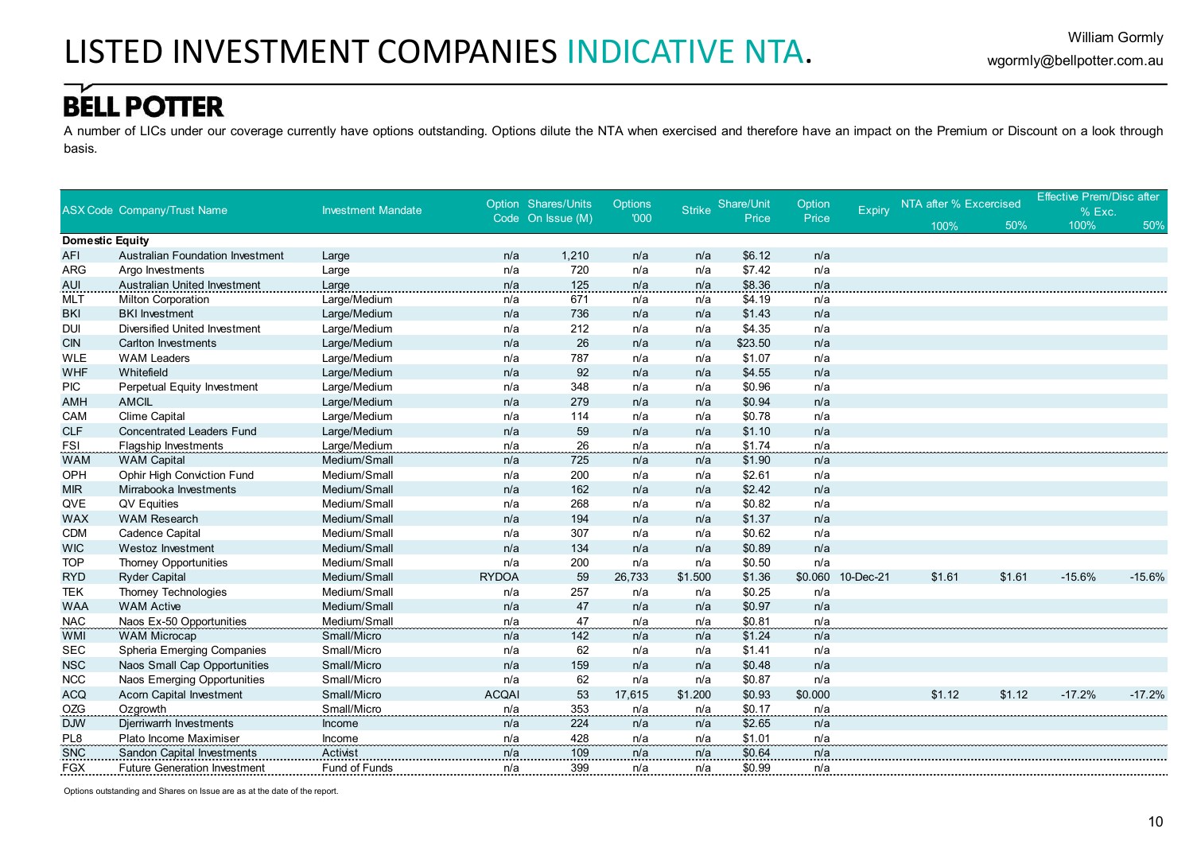A number of LICs under our coverage currently have options outstanding. Options dilute the NTA when exercised and therefore have an impact on the Premium or Discount on a look through basis.

|                               |                                                    |                           |              | Option Shares/Units | <b>Options</b> |               | Share/Unit | Option     |           | NTA after % Excercised |        | <b>Effective Prem/Disc after</b> |          |
|-------------------------------|----------------------------------------------------|---------------------------|--------------|---------------------|----------------|---------------|------------|------------|-----------|------------------------|--------|----------------------------------|----------|
|                               | <b>ASX Code Company/Trust Name</b>                 | <b>Investment Mandate</b> |              | Code On Issue (M)   | '000           | <b>Strike</b> | Price      | Price      | Expiry    |                        |        | % Exc.                           |          |
|                               |                                                    |                           |              |                     |                |               |            |            |           | 100%                   | 50%    | 100%                             | 50%      |
| <b>Domestic Equity</b><br>AFI | <b>Australian Foundation Investment</b>            |                           | n/a          | 1,210               | n/a            | n/a           | \$6.12     | n/a        |           |                        |        |                                  |          |
| ARG                           | Argo Investments                                   | Large                     | n/a          | 720                 | n/a            | n/a           | \$7.42     | n/a        |           |                        |        |                                  |          |
|                               | Australian United Investment                       | Large                     |              |                     |                |               | \$8.36     | n/a        |           |                        |        |                                  |          |
| AUI                           |                                                    | Large                     | n/a          | 125<br>671          | n/a            | n/a           | \$4.19     |            |           |                        |        |                                  |          |
| MLT                           | <b>Milton Corporation</b><br><b>BKI</b> Investment | Large/Medium              | n/a<br>n/a   | 736                 | n/a<br>n/a     | n/a<br>n/a    | \$1.43     | n/a<br>n/a |           |                        |        |                                  |          |
| <b>BKI</b><br><b>DUI</b>      | Diversified United Investment                      | Large/Medium              | n/a          | 212                 | n/a            | n/a           | \$4.35     | n/a        |           |                        |        |                                  |          |
|                               |                                                    | Large/Medium              | n/a          | 26                  | n/a            | n/a           | \$23.50    | n/a        |           |                        |        |                                  |          |
| <b>CIN</b>                    | <b>Carlton Investments</b><br><b>WAM Leaders</b>   | Large/Medium              |              |                     |                |               |            |            |           |                        |        |                                  |          |
| <b>WLE</b>                    |                                                    | Large/Medium              | n/a          | 787                 | n/a            | n/a           | \$1.07     | n/a        |           |                        |        |                                  |          |
| <b>WHF</b>                    | Whitefield                                         | Large/Medium              | n/a          | 92                  | n/a            | n/a           | \$4.55     | n/a        |           |                        |        |                                  |          |
| <b>PIC</b>                    | Perpetual Equity Investment                        | Large/Medium              | n/a          | 348                 | n/a            | n/a           | \$0.96     | n/a        |           |                        |        |                                  |          |
| <b>AMH</b>                    | <b>AMCIL</b>                                       | Large/Medium              | n/a          | 279                 | n/a            | n/a           | \$0.94     | n/a        |           |                        |        |                                  |          |
| CAM                           | Clime Capital                                      | Large/Medium              | n/a          | 114                 | n/a            | n/a           | \$0.78     | n/a        |           |                        |        |                                  |          |
| <b>CLF</b>                    | <b>Concentrated Leaders Fund</b>                   | Large/Medium              | n/a          | 59                  | n/a            | n/a           | \$1.10     | n/a        |           |                        |        |                                  |          |
| <b>FSI</b>                    | <b>Flagship Investments</b>                        | Large/Medium              | n/a          | 26                  | n/a            | n/a           | \$1.74     | n/a        |           |                        |        |                                  |          |
| <b>WAM</b>                    | <b>WAM Capital</b>                                 | Medium/Small              | n/a          | 725                 | n/a            | n/a           | \$1.90     | n/a        |           |                        |        |                                  |          |
| OPH                           | Ophir High Conviction Fund                         | Medium/Small              | n/a          | 200                 | n/a            | n/a           | \$2.61     | n/a        |           |                        |        |                                  |          |
| <b>MIR</b>                    | Mirrabooka Investments                             | Medium/Small              | n/a          | 162                 | n/a            | n/a           | \$2.42     | n/a        |           |                        |        |                                  |          |
| QVE                           | QV Equities                                        | Medium/Small              | n/a          | 268                 | n/a            | n/a           | \$0.82     | n/a        |           |                        |        |                                  |          |
| <b>WAX</b>                    | <b>WAM Research</b>                                | Medium/Small              | n/a          | 194                 | n/a            | n/a           | \$1.37     | n/a        |           |                        |        |                                  |          |
| <b>CDM</b>                    | Cadence Capital                                    | Medium/Small              | n/a          | 307                 | n/a            | n/a           | \$0.62     | n/a        |           |                        |        |                                  |          |
| <b>WIC</b>                    | Westoz Investment                                  | Medium/Small              | n/a          | 134                 | n/a            | n/a           | \$0.89     | n/a        |           |                        |        |                                  |          |
| <b>TOP</b>                    | Thorney Opportunities                              | Medium/Small              | n/a          | 200                 | n/a            | n/a           | \$0.50     | n/a        |           |                        |        |                                  |          |
| <b>RYD</b>                    | <b>Ryder Capital</b>                               | Medium/Small              | <b>RYDOA</b> | 59                  | 26.733         | \$1.500       | \$1.36     | \$0.060    | 10-Dec-21 | \$1.61                 | \$1.61 | $-15.6%$                         | $-15.6%$ |
| <b>TEK</b>                    | Thorney Technologies                               | Medium/Small              | n/a          | 257                 | n/a            | n/a           | \$0.25     | n/a        |           |                        |        |                                  |          |
| <b>WAA</b>                    | <b>WAM Active</b>                                  | Medium/Small              | n/a          | 47                  | n/a            | n/a           | \$0.97     | n/a        |           |                        |        |                                  |          |
| <b>NAC</b>                    | Naos Ex-50 Opportunities                           | Medium/Small              | n/a          | 47                  | n/a            | n/a           | \$0.81     | n/a        |           |                        |        |                                  |          |
| <b>WMI</b>                    | <b>WAM Microcap</b>                                | Small/Micro               | n/a          | 142                 | n/a            | n/a           | \$1.24     | n/a        |           |                        |        |                                  |          |
| <b>SEC</b>                    | Spheria Emerging Companies                         | Small/Micro               | n/a          | 62                  | n/a            | n/a           | \$1.41     | n/a        |           |                        |        |                                  |          |
| <b>NSC</b>                    | Naos Small Cap Opportunities                       | Small/Micro               | n/a          | 159                 | n/a            | n/a           | \$0.48     | n/a        |           |                        |        |                                  |          |
| <b>NCC</b>                    | Naos Emerging Opportunities                        | Small/Micro               | n/a          | 62                  | n/a            | n/a           | \$0.87     | n/a        |           |                        |        |                                  |          |
| <b>ACQ</b>                    | <b>Acorn Capital Investment</b>                    | Small/Micro               | <b>ACQAI</b> | 53                  | 17.615         | \$1.200       | \$0.93     | \$0.000    |           | \$1.12                 | \$1.12 | $-17.2%$                         | $-17.2%$ |
| <b>OZG</b>                    | Ozgrowth                                           | Small/Micro               | n/a          | 353                 | n/a            | n/a           | \$0.17     | n/a        |           |                        |        |                                  |          |
| <b>DJW</b>                    | Djerriwarrh Investments                            | Income                    | n/a          | 224                 | n/a            | n/a           | \$2.65     | n/a        |           |                        |        |                                  |          |
| PL <sub>8</sub>               | Plato Income Maximiser                             | Income                    | n/a          | 428                 | n/a            | n/a           | \$1.01     | n/a        |           |                        |        |                                  |          |
| <b>SNC</b>                    | <b>Sandon Capital Investments</b>                  | Activist                  | n/a          | 109                 | n/a            | n/a           | \$0.64     | n/a        |           |                        |        |                                  |          |
| <b>FGX</b>                    | <b>Future Generation Investment</b>                | <b>Fund of Funds</b>      | n/a          | 399                 | n/a            | n/a           | \$0.99     | n/a        |           |                        |        |                                  |          |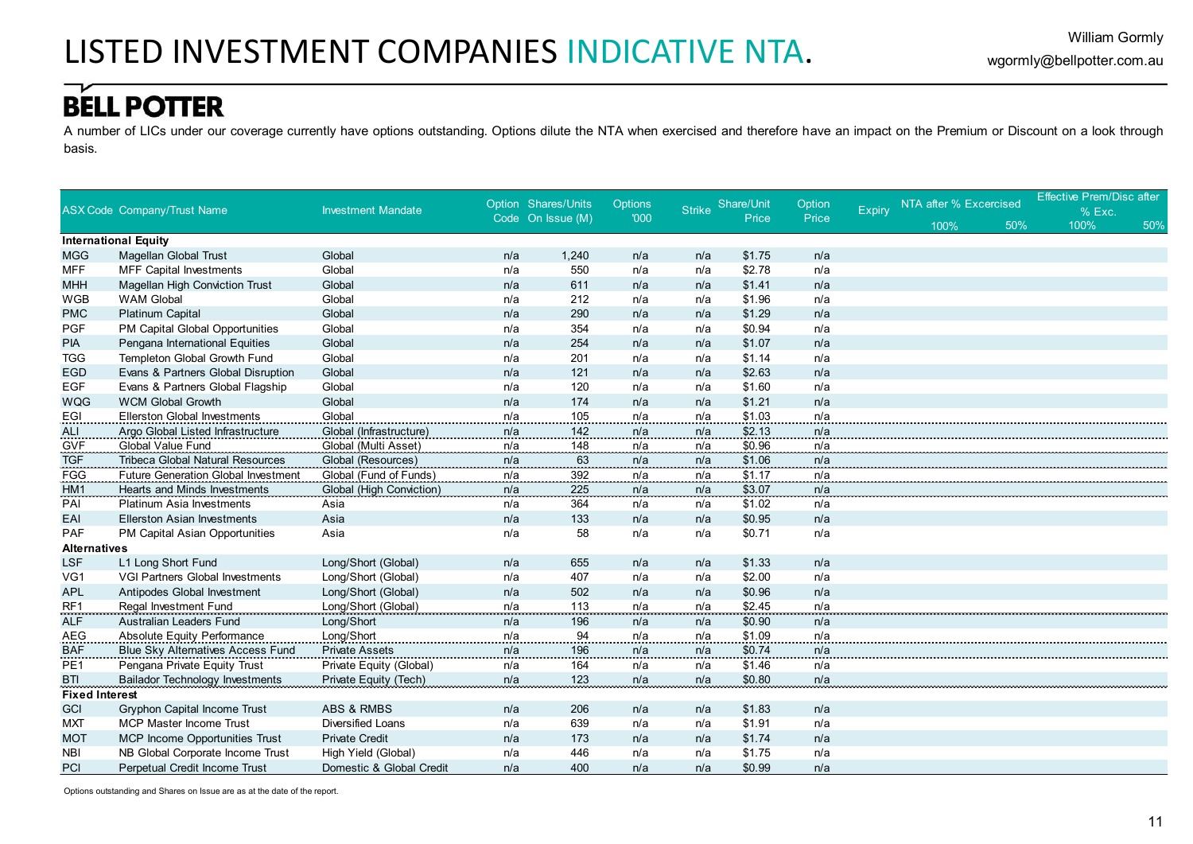A number of LICs under our coverage currently have options outstanding. Options dilute the NTA when exercised and therefore have an impact on the Premium or Discount on a look through basis.

|                       |                                            |                           |     | Option Shares/Units | <b>Options</b> |               | Share/Unit | Option |        | NTA after % Excercised |     | <b>Effective Prem/Disc after</b> |     |
|-----------------------|--------------------------------------------|---------------------------|-----|---------------------|----------------|---------------|------------|--------|--------|------------------------|-----|----------------------------------|-----|
|                       | <b>ASX Code Company/Trust Name</b>         | <b>Investment Mandate</b> |     | Code On Issue (M)   | '000           | <b>Strike</b> | Price      | Price  | Expiry |                        |     | % Exc.                           |     |
|                       |                                            |                           |     |                     |                |               |            |        |        | 100%                   | 50% | 100%                             | 50% |
|                       | <b>International Equity</b>                |                           |     |                     |                |               |            |        |        |                        |     |                                  |     |
| <b>MGG</b>            | Magellan Global Trust                      | Global                    | n/a | 1,240               | n/a            | n/a           | \$1.75     | n/a    |        |                        |     |                                  |     |
| <b>MFF</b>            | <b>MFF Capital Investments</b>             | Global                    | n/a | 550                 | n/a            | n/a           | \$2.78     | n/a    |        |                        |     |                                  |     |
| <b>MHH</b>            | <b>Magellan High Conviction Trust</b>      | Global                    | n/a | 611                 | n/a            | n/a           | \$1.41     | n/a    |        |                        |     |                                  |     |
| WGB                   | <b>WAM Global</b>                          | Global                    | n/a | 212                 | n/a            | n/a           | \$1.96     | n/a    |        |                        |     |                                  |     |
| <b>PMC</b>            | <b>Platinum Capital</b>                    | Global                    | n/a | 290                 | n/a            | n/a           | \$1.29     | n/a    |        |                        |     |                                  |     |
| <b>PGF</b>            | PM Capital Global Opportunities            | Global                    | n/a | 354                 | n/a            | n/a           | \$0.94     | n/a    |        |                        |     |                                  |     |
| <b>PIA</b>            | Pengana International Equities             | Global                    | n/a | 254                 | n/a            | n/a           | \$1.07     | n/a    |        |                        |     |                                  |     |
| <b>TGG</b>            | Templeton Global Growth Fund               | Global                    | n/a | 201                 | n/a            | n/a           | \$1.14     | n/a    |        |                        |     |                                  |     |
| <b>EGD</b>            | Evans & Partners Global Disruption         | Global                    | n/a | 121                 | n/a            | n/a           | \$2.63     | n/a    |        |                        |     |                                  |     |
| <b>EGF</b>            | Evans & Partners Global Flagship           | Global                    | n/a | 120                 | n/a            | n/a           | \$1.60     | n/a    |        |                        |     |                                  |     |
| <b>WQG</b>            | <b>WCM Global Growth</b>                   | Global                    | n/a | 174                 | n/a            | n/a           | \$1.21     | n/a    |        |                        |     |                                  |     |
| EGI                   | <b>Ellerston Global Investments</b>        | Global                    | n/a | 105                 | n/a            | n/a           | \$1.03     | n/a    |        |                        |     |                                  |     |
| <b>ALI</b>            | Argo Global Listed Infrastructure          | Global (Infrastructure)   | n/a | 142                 | n/a            | n/a           | \$2.13     | n/a    |        |                        |     |                                  |     |
| <b>GVF</b>            | <b>Global Value Fund</b>                   | Global (Multi Asset)      | n/a | 148                 | n/a            | n/a           | \$0.96     | n/a    |        |                        |     |                                  |     |
| <b>TGF</b>            | <b>Tribeca Global Natural Resources</b>    | Global (Resources)        | n/a | 63                  | n/a            | n/a           | \$1.06     | n/a    |        |                        |     |                                  |     |
| FGG                   | <b>Future Generation Global Investment</b> | Global (Fund of Funds)    | n/a | 392                 | n/a            | n/a           | \$1.17     | n/a    |        |                        |     |                                  |     |
| HM <sub>1</sub>       | Hearts and Minds Investments               | Global (High Conviction)  | n/a | 225                 | n/a            | n/a           | \$3.07     | n/a    |        |                        |     |                                  |     |
| PAI                   | <b>Platinum Asia Investments</b>           | Asia                      | n/a | 364                 | n/a            | n/a           | \$1.02     | n/a    |        |                        |     |                                  |     |
| EAI                   | <b>Ellerston Asian Investments</b>         | Asia                      | n/a | 133                 | n/a            | n/a           | \$0.95     | n/a    |        |                        |     |                                  |     |
| PAF                   | PM Capital Asian Opportunities             | Asia                      | n/a | 58                  | n/a            | n/a           | \$0.71     | n/a    |        |                        |     |                                  |     |
| <b>Alternatives</b>   |                                            |                           |     |                     |                |               |            |        |        |                        |     |                                  |     |
| <b>LSF</b>            | L1 Long Short Fund                         | Long/Short (Global)       | n/a | 655                 | n/a            | n/a           | \$1.33     | n/a    |        |                        |     |                                  |     |
| VG1                   | VGI Partners Global Investments            | Long/Short (Global)       | n/a | 407                 | n/a            | n/a           | \$2.00     | n/a    |        |                        |     |                                  |     |
| <b>APL</b>            | Antipodes Global Investment                | Long/Short (Global)       | n/a | 502                 | n/a            | n/a           | \$0.96     | n/a    |        |                        |     |                                  |     |
| RF <sub>1</sub>       | Regal Investment Fund                      | Long/Short (Global)       | n/a | <u>113</u>          | n/a            | n/a           | \$2.45     | n/a    |        |                        |     |                                  |     |
| <b>ALF</b>            | Australian Leaders Fund                    | Long/Short                | n/a | 196                 | n/a            | n/a           | \$0.90     | n/a    |        |                        |     |                                  |     |
| <b>AEG</b>            | Absolute Equity Performance                | Long/Short                | n/a | 94                  | n/a            | n/a           | \$1.09     | n/a    |        |                        |     |                                  |     |
| <b>BAF</b>            | Blue Sky Alternatives Access Fund          | <b>Private Assets</b>     | n/a | 196                 | n/a            | n/a           | \$0.74     | n/a    |        |                        |     |                                  |     |
| PE <sub>1</sub>       | Pengana Private Equity Trust               | Private Equity (Global)   | n/a | 164                 | n/a            | n/a           | \$1.46     | n/a    |        |                        |     |                                  |     |
| <b>BTI</b>            | <b>Bailador Technology Investments</b>     | Private Equity (Tech)     | n/a | 123                 | n/a            | n/a           | \$0.80     | n/a    |        |                        |     |                                  |     |
| <b>Fixed Interest</b> |                                            |                           |     |                     |                |               |            |        |        |                        |     |                                  |     |
| <b>GCI</b>            | Gryphon Capital Income Trust               | ABS & RMBS                | n/a | 206                 | n/a            | n/a           | \$1.83     | n/a    |        |                        |     |                                  |     |
| <b>MXT</b>            | <b>MCP Master Income Trust</b>             | <b>Diversified Loans</b>  | n/a | 639                 | n/a            | n/a           | \$1.91     | n/a    |        |                        |     |                                  |     |
| <b>MOT</b>            | <b>MCP Income Opportunities Trust</b>      | <b>Private Credit</b>     | n/a | 173                 | n/a            | n/a           | \$1.74     | n/a    |        |                        |     |                                  |     |
| <b>NBI</b>            | NB Global Corporate Income Trust           | High Yield (Global)       | n/a | 446                 | n/a            | n/a           | \$1.75     | n/a    |        |                        |     |                                  |     |
| PCI                   | Perpetual Credit Income Trust              | Domestic & Global Credit  | n/a | 400                 | n/a            | n/a           | \$0.99     | n/a    |        |                        |     |                                  |     |

Options outstanding and Shares on Issue are as at the date of the report.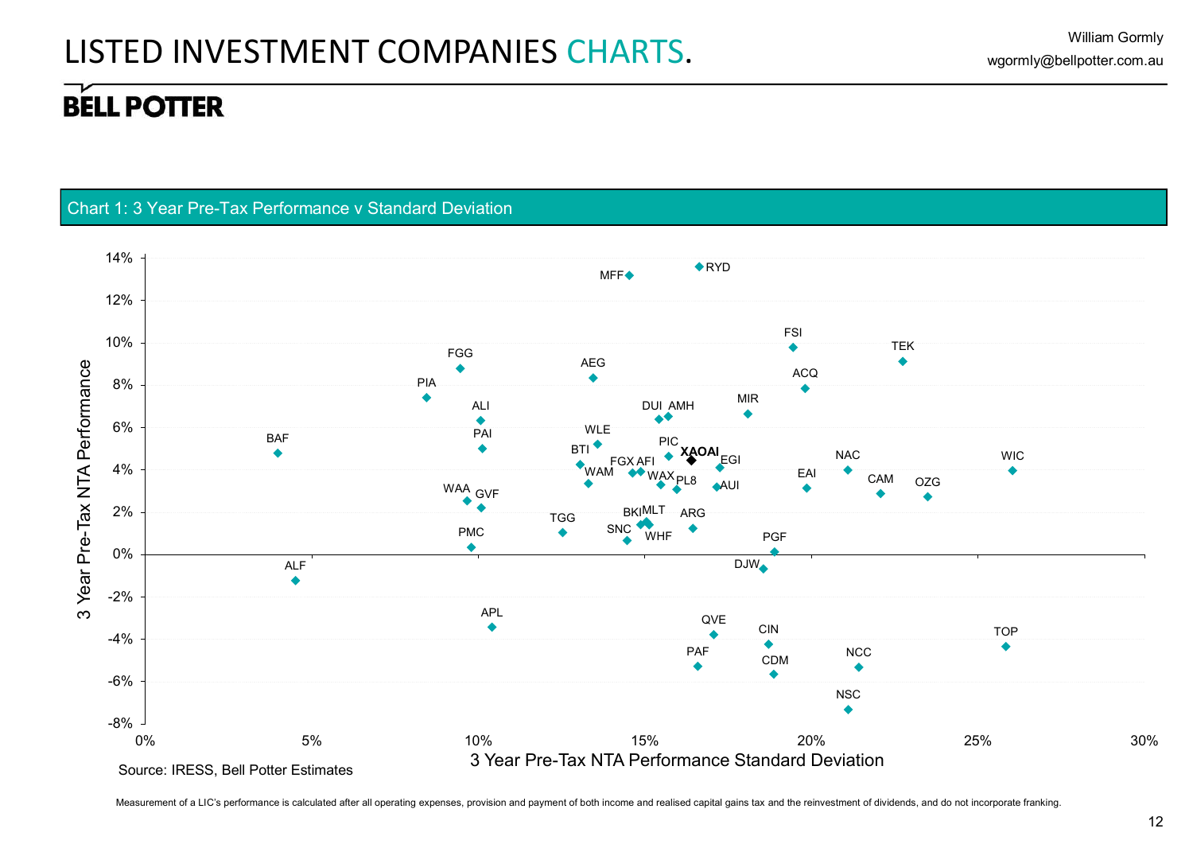#### Chart 1: 3 Year Pre-Tax Performance v Standard Deviation



Measurement of a LIC's performance is calculated after all operating expenses, provision and payment of both income and realised capital gains tax and the reinvestment of dividends, and do not incorporate franking.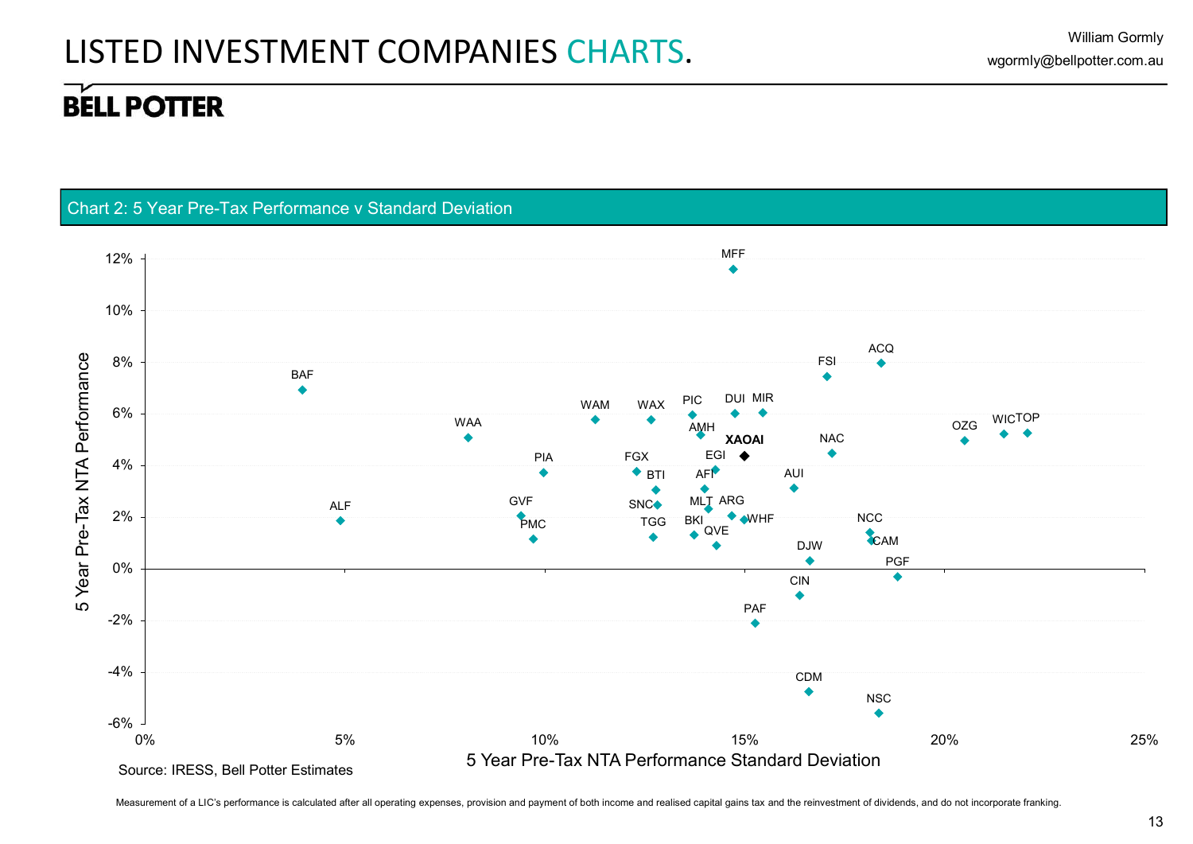#### Chart 2: 5 Year Pre-Tax Performance v Standard Deviation



Measurement of a LIC's performance is calculated after all operating expenses, provision and payment of both income and realised capital gains tax and the reinvestment of dividends, and do not incorporate franking.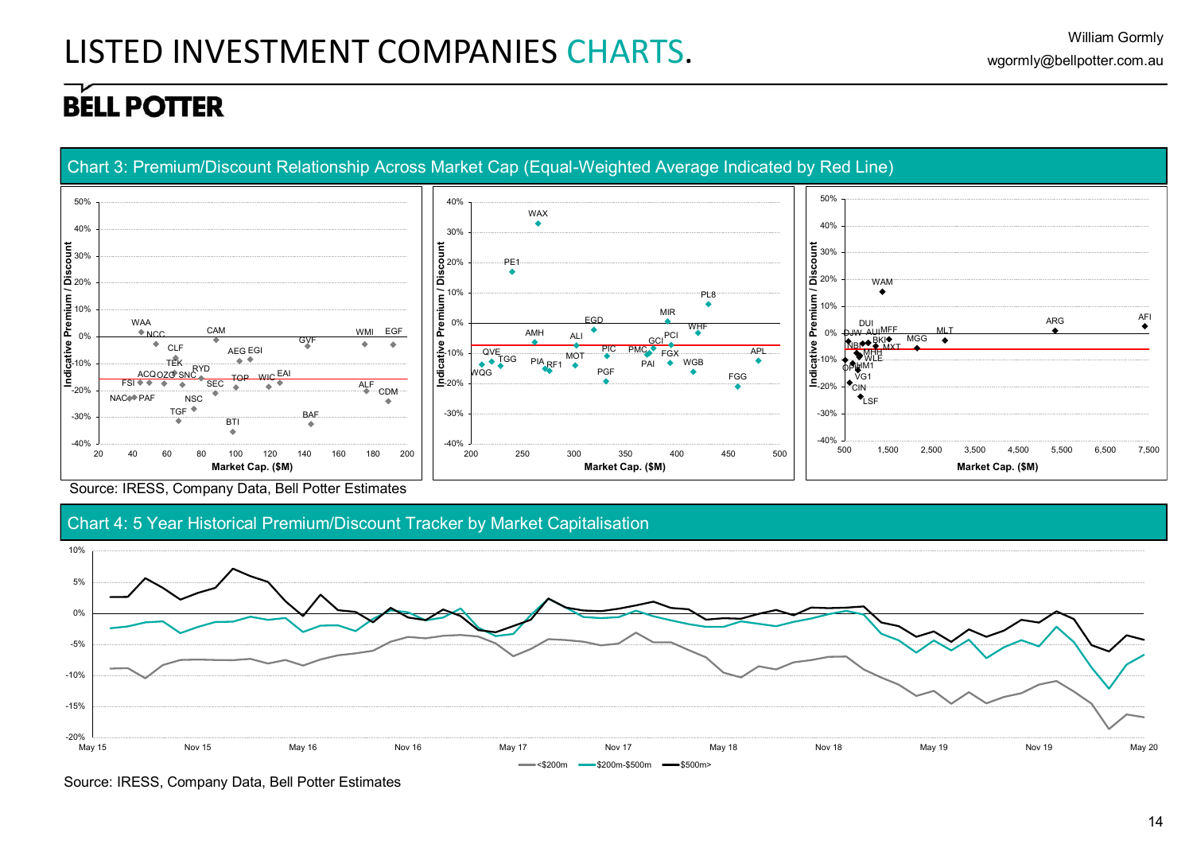

Source: IRESS, Company Data, Bell Potter Estimates





Source: IRESS, Company Data, Bell Potter Estimates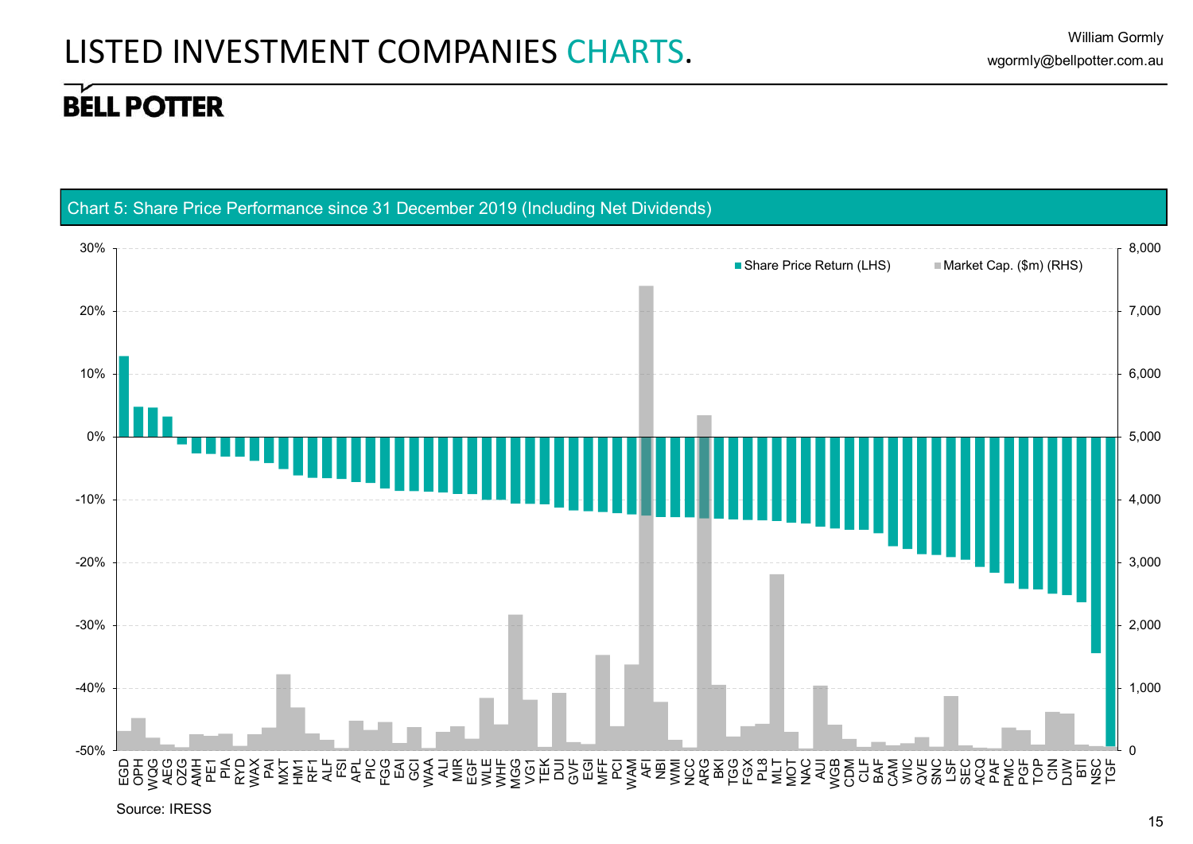